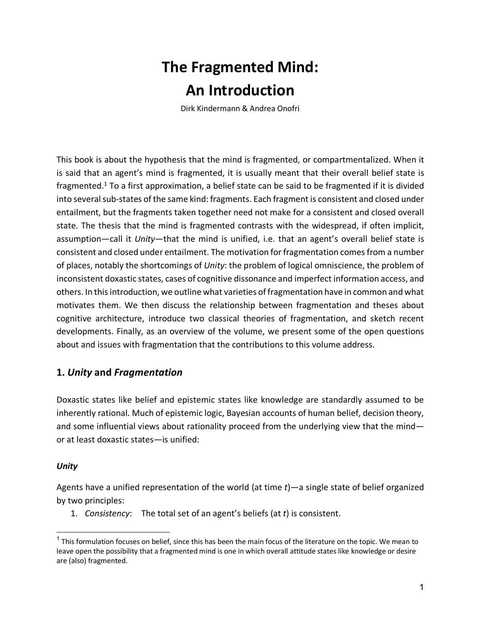# **The Fragmented Mind: An Introduction**

Dirk Kindermann & Andrea Onofri

This book is about the hypothesis that the mind is fragmented, or compartmentalized. When it is said that an agent's mind is fragmented, it is usually meant that their overall belief state is fragmented.<sup>1</sup> To a first approximation, a belief state can be said to be fragmented if it is divided into several sub-states of the same kind: fragments. Each fragment is consistent and closed under entailment, but the fragments taken together need not make for a consistent and closed overall state. The thesis that the mind is fragmented contrasts with the widespread, if often implicit, assumption—call it *Unity*—that the mind is unified, i.e. that an agent's overall belief state is consistent and closed under entailment. The motivation for fragmentation comes from a number of places, notably the shortcomings of *Unity*: the problem of logical omniscience, the problem of inconsistent doxastic states, cases of cognitive dissonance and imperfect information access, and others. In this introduction, we outline what varieties of fragmentation have in common and what motivates them. We then discuss the relationship between fragmentation and theses about cognitive architecture, introduce two classical theories of fragmentation, and sketch recent developments. Finally, as an overview of the volume, we present some of the open questions about and issues with fragmentation that the contributions to this volume address.

# **1.** *Unity* **and** *Fragmentation*

Doxastic states like belief and epistemic states like knowledge are standardly assumed to be inherently rational. Much of epistemic logic, Bayesian accounts of human belief, decision theory, and some influential views about rationality proceed from the underlying view that the mind or at least doxastic states—is unified:

#### *Unity*

Agents have a unified representation of the world (at time *t*)—a single state of belief organized by two principles:

1. *Consistency*: The total set of an agent's beliefs (at *t*) is consistent.

 $1$  This formulation focuses on belief, since this has been the main focus of the literature on the topic. We mean to leave open the possibility that a fragmented mind is one in which overall attitude states like knowledge or desire are (also) fragmented.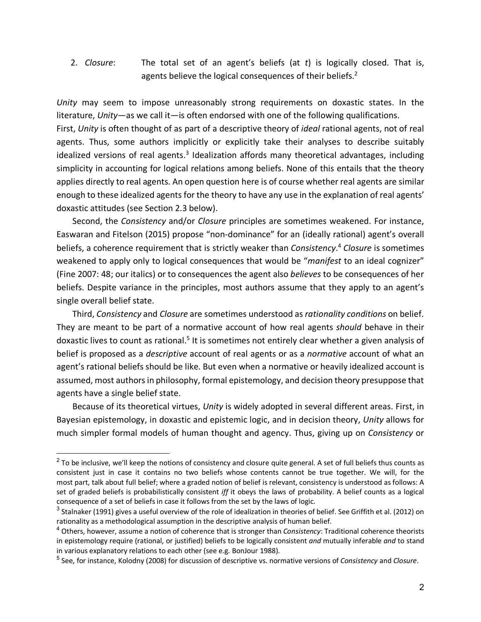2. *Closure*: The total set of an agent's beliefs (at *t*) is logically closed. That is, agents believe the logical consequences of their beliefs.<sup>2</sup>

*Unity* may seem to impose unreasonably strong requirements on doxastic states. In the literature, *Unity*—as we call it—is often endorsed with one of the following qualifications. First, *Unity* is often thought of as part of a descriptive theory of *ideal* rational agents, not of real agents. Thus, some authors implicitly or explicitly take their analyses to describe suitably idealized versions of real agents.<sup>3</sup> Idealization affords many theoretical advantages, including simplicity in accounting for logical relations among beliefs. None of this entails that the theory applies directly to real agents. An open question here is of course whether real agents are similar enough to these idealized agents for the theory to have any use in the explanation of real agents' doxastic attitudes (see Section 2.3 below).

Second, the *Consistency* and/or *Closure* principles are sometimes weakened. For instance, Easwaran and Fitelson (2015) propose "non-dominance" for an (ideally rational) agent's overall beliefs, a coherence requirement that is strictly weaker than *Consistency*. <sup>4</sup> *Closure* is sometimes weakened to apply only to logical consequences that would be "*manifest* to an ideal cognizer" (Fine 2007: 48; our italics) or to consequences the agent also *believes* to be consequences of her beliefs. Despite variance in the principles, most authors assume that they apply to an agent's single overall belief state.

Third, *Consistency* and *Closure* are sometimes understood as *rationality conditions* on belief. They are meant to be part of a normative account of how real agents *should* behave in their doxastic lives to count as rational.<sup>5</sup> It is sometimes not entirely clear whether a given analysis of belief is proposed as a *descriptive* account of real agents or as a *normative* account of what an agent's rational beliefs should be like. But even when a normative or heavily idealized account is assumed, most authors in philosophy, formal epistemology, and decision theory presuppose that agents have a single belief state.

Because of its theoretical virtues, *Unity* is widely adopted in several different areas. First, in Bayesian epistemology, in doxastic and epistemic logic, and in decision theory, *Unity* allows for much simpler formal models of human thought and agency. Thus, giving up on *Consistency* or

 $2$  To be inclusive, we'll keep the notions of consistency and closure quite general. A set of full beliefs thus counts as consistent just in case it contains no two beliefs whose contents cannot be true together. We will, for the most part, talk about full belief; where a graded notion of belief is relevant, consistency is understood as follows: A set of graded beliefs is probabilistically consistent *iff* it obeys the laws of probability. A belief counts as a logical consequence of a set of beliefs in case it follows from the set by the laws of logic.

 $3$  Stalnaker (1991) gives a useful overview of the role of idealization in theories of belief. See Griffith et al. (2012) on rationality as a methodological assumption in the descriptive analysis of human belief.

<sup>4</sup> Others, however, assume a notion of coherence that is stronger than *Consistency*: Traditional coherence theorists in epistemology require (rational, or justified) beliefs to be logically consistent *and* mutually inferable *and* to stand in various explanatory relations to each other (see e.g. BonJour 1988).

<sup>5</sup> See, for instance, Kolodny (2008) for discussion of descriptive vs. normative versions of *Consistency* and *Closure*.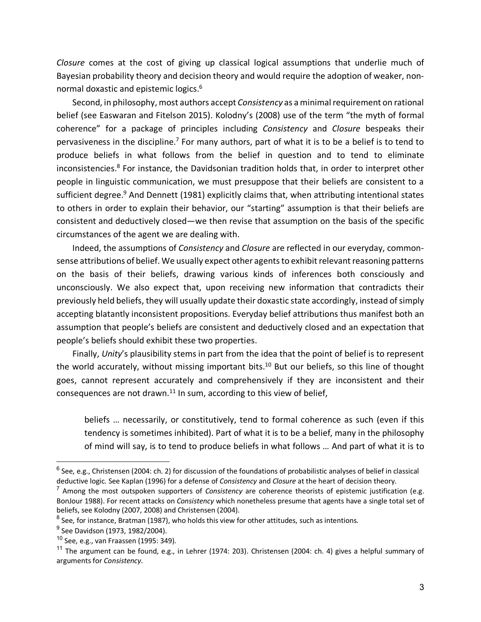*Closure* comes at the cost of giving up classical logical assumptions that underlie much of Bayesian probability theory and decision theory and would require the adoption of weaker, nonnormal doxastic and epistemic logics.<sup>6</sup>

Second, in philosophy, most authors accept *Consistency* as a minimal requirement on rational belief (see Easwaran and Fitelson 2015). Kolodny's (2008) use of the term "the myth of formal coherence" for a package of principles including *Consistency* and *Closure* bespeaks their pervasiveness in the discipline.<sup>7</sup> For many authors, part of what it is to be a belief is to tend to produce beliefs in what follows from the belief in question and to tend to eliminate inconsistencies.8 For instance, the Davidsonian tradition holds that, in order to interpret other people in linguistic communication, we must presuppose that their beliefs are consistent to a sufficient degree.<sup>9</sup> And Dennett (1981) explicitly claims that, when attributing intentional states to others in order to explain their behavior, our "starting" assumption is that their beliefs are consistent and deductively closed—we then revise that assumption on the basis of the specific circumstances of the agent we are dealing with.

Indeed, the assumptions of *Consistency* and *Closure* are reflected in our everyday, commonsense attributions of belief. We usually expect other agents to exhibit relevant reasoning patterns on the basis of their beliefs, drawing various kinds of inferences both consciously and unconsciously. We also expect that, upon receiving new information that contradicts their previously held beliefs, they will usually update their doxastic state accordingly, instead of simply accepting blatantly inconsistent propositions. Everyday belief attributions thus manifest both an assumption that people's beliefs are consistent and deductively closed and an expectation that people's beliefs should exhibit these two properties.

Finally, *Unity*'s plausibility stems in part from the idea that the point of belief is to represent the world accurately, without missing important bits.<sup>10</sup> But our beliefs, so this line of thought goes, cannot represent accurately and comprehensively if they are inconsistent and their consequences are not drawn.<sup>11</sup> In sum, according to this view of belief,

beliefs … necessarily, or constitutively, tend to formal coherence as such (even if this tendency is sometimes inhibited). Part of what it is to be a belief, many in the philosophy of mind will say, is to tend to produce beliefs in what follows … And part of what it is to

 $6$  See, e.g., Christensen (2004: ch. 2) for discussion of the foundations of probabilistic analyses of belief in classical deductive logic. See Kaplan (1996) for a defense of *Consistency* and *Closure* at the heart of decision theory.

<sup>7</sup> Among the most outspoken supporters of *Consistency* are coherence theorists of epistemic justification (e.g. BonJour 1988). For recent attacks on *Consistency* which nonetheless presume that agents have a single total set of beliefs, see Kolodny (2007, 2008) and Christensen (2004).

 $8$  See, for instance, Bratman (1987), who holds this view for other attitudes, such as intentions.

<sup>&</sup>lt;sup>9</sup> See Davidson (1973, 1982/2004).

<sup>10</sup> See, e.g., van Fraassen (1995: 349).

<sup>&</sup>lt;sup>11</sup> The argument can be found, e.g., in Lehrer (1974: 203). Christensen (2004: ch. 4) gives a helpful summary of arguments for *Consistency*.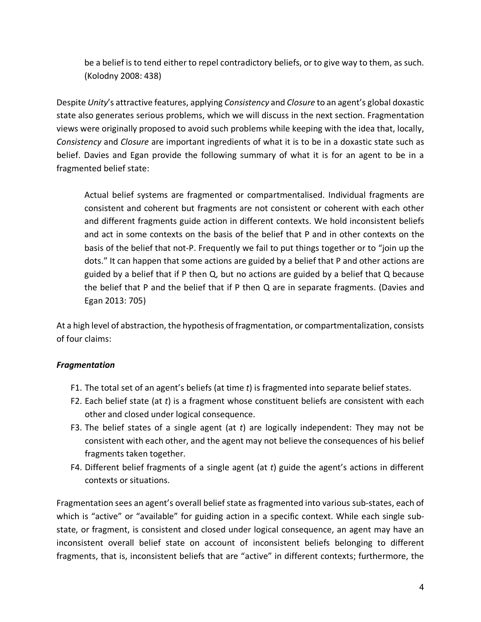be a belief is to tend either to repel contradictory beliefs, or to give way to them, as such. (Kolodny 2008: 438)

Despite *Unity*'s attractive features, applying *Consistency* and *Closure* to an agent's global doxastic state also generates serious problems, which we will discuss in the next section. Fragmentation views were originally proposed to avoid such problems while keeping with the idea that, locally, *Consistency* and *Closure* are important ingredients of what it is to be in a doxastic state such as belief. Davies and Egan provide the following summary of what it is for an agent to be in a fragmented belief state:

Actual belief systems are fragmented or compartmentalised. Individual fragments are consistent and coherent but fragments are not consistent or coherent with each other and different fragments guide action in different contexts. We hold inconsistent beliefs and act in some contexts on the basis of the belief that P and in other contexts on the basis of the belief that not-P. Frequently we fail to put things together or to "join up the dots." It can happen that some actions are guided by a belief that P and other actions are guided by a belief that if P then Q, but no actions are guided by a belief that Q because the belief that P and the belief that if P then Q are in separate fragments. (Davies and Egan 2013: 705)

At a high level of abstraction, the hypothesis of fragmentation, or compartmentalization, consists of four claims:

#### *Fragmentation*

- F1. The total set of an agent's beliefs (at time *t*) is fragmented into separate belief states.
- F2. Each belief state (at *t*) is a fragment whose constituent beliefs are consistent with each other and closed under logical consequence.
- F3. The belief states of a single agent (at *t*) are logically independent: They may not be consistent with each other, and the agent may not believe the consequences of his belief fragments taken together.
- F4. Different belief fragments of a single agent (at *t*) guide the agent's actions in different contexts or situations.

Fragmentation sees an agent's overall belief state as fragmented into various sub-states, each of which is "active" or "available" for guiding action in a specific context. While each single substate, or fragment, is consistent and closed under logical consequence, an agent may have an inconsistent overall belief state on account of inconsistent beliefs belonging to different fragments, that is, inconsistent beliefs that are "active" in different contexts; furthermore, the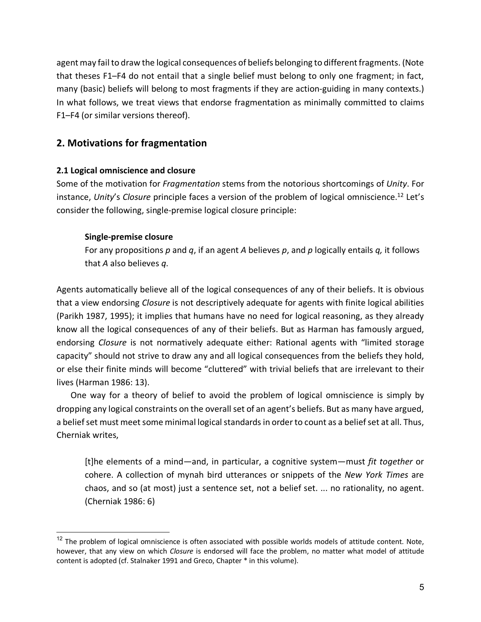agent may fail to draw the logical consequences of beliefs belonging to different fragments. (Note that theses F1–F4 do not entail that a single belief must belong to only one fragment; in fact, many (basic) beliefs will belong to most fragments if they are action-guiding in many contexts.) In what follows, we treat views that endorse fragmentation as minimally committed to claims F1–F4 (or similar versions thereof).

# **2. Motivations for fragmentation**

#### **2.1 Logical omniscience and closure**

Some of the motivation for *Fragmentation* stems from the notorious shortcomings of *Unity*. For instance, *Unity*'s *Closure* principle faces a version of the problem of logical omniscience.12 Let's consider the following, single-premise logical closure principle:

#### **Single-premise closure**

For any propositions *p* and *q*, if an agent *A* believes *p*, and *p* logically entails *q,* it follows that *A* also believes *q*.

Agents automatically believe all of the logical consequences of any of their beliefs. It is obvious that a view endorsing *Closure* is not descriptively adequate for agents with finite logical abilities (Parikh 1987, 1995); it implies that humans have no need for logical reasoning, as they already know all the logical consequences of any of their beliefs. But as Harman has famously argued, endorsing *Closure* is not normatively adequate either: Rational agents with "limited storage capacity" should not strive to draw any and all logical consequences from the beliefs they hold, or else their finite minds will become "cluttered" with trivial beliefs that are irrelevant to their lives (Harman 1986: 13).

One way for a theory of belief to avoid the problem of logical omniscience is simply by dropping any logical constraints on the overall set of an agent's beliefs. But as many have argued, a belief set must meet some minimal logical standards in order to count as a belief set at all. Thus, Cherniak writes,

[t]he elements of a mind—and, in particular, a cognitive system—must *fit together* or cohere. A collection of mynah bird utterances or snippets of the *New York Times* are chaos, and so (at most) just a sentence set, not a belief set. ... no rationality, no agent. (Cherniak 1986: 6)

 $12$  The problem of logical omniscience is often associated with possible worlds models of attitude content. Note, however, that any view on which *Closure* is endorsed will face the problem, no matter what model of attitude content is adopted (cf. Stalnaker 1991 and Greco, Chapter \* in this volume).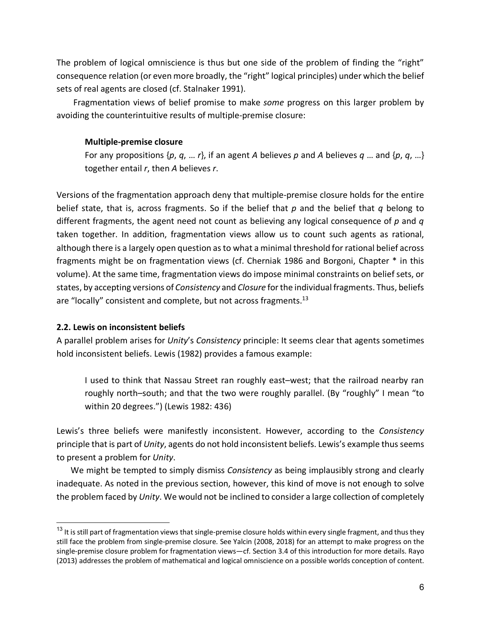The problem of logical omniscience is thus but one side of the problem of finding the "right" consequence relation (or even more broadly, the "right" logical principles) under which the belief sets of real agents are closed (cf. Stalnaker 1991).

Fragmentation views of belief promise to make *some* progress on this larger problem by avoiding the counterintuitive results of multiple-premise closure:

#### **Multiple-premise closure**

For any propositions {*p*, *q*, … *r*}, if an agent *A* believes *p* and *A* believes *q* … and {*p*, *q*, …} together entail *r*, then *A* believes *r*.

Versions of the fragmentation approach deny that multiple-premise closure holds for the entire belief state, that is, across fragments. So if the belief that *p* and the belief that *q* belong to different fragments, the agent need not count as believing any logical consequence of *p* and *q* taken together. In addition, fragmentation views allow us to count such agents as rational, although there is a largely open question as to what a minimal threshold for rational belief across fragments might be on fragmentation views (cf. Cherniak 1986 and Borgoni, Chapter \* in this volume). At the same time, fragmentation views do impose minimal constraints on belief sets, or states, by accepting versions of *Consistency* and *Closure* for the individual fragments. Thus, beliefs are "locally" consistent and complete, but not across fragments.<sup>13</sup>

#### **2.2. Lewis on inconsistent beliefs**

A parallel problem arises for *Unity*'s *Consistency* principle: It seems clear that agents sometimes hold inconsistent beliefs. Lewis (1982) provides a famous example:

I used to think that Nassau Street ran roughly east–west; that the railroad nearby ran roughly north–south; and that the two were roughly parallel. (By "roughly" I mean "to within 20 degrees.") (Lewis 1982: 436)

Lewis's three beliefs were manifestly inconsistent. However, according to the *Consistency*  principle that is part of *Unity*, agents do not hold inconsistent beliefs. Lewis's example thus seems to present a problem for *Unity*.

We might be tempted to simply dismiss *Consistency* as being implausibly strong and clearly inadequate. As noted in the previous section, however, this kind of move is not enough to solve the problem faced by *Unity*. We would not be inclined to consider a large collection of completely

 $13$  It is still part of fragmentation views that single-premise closure holds within every single fragment, and thus they still face the problem from single-premise closure. See Yalcin (2008, 2018) for an attempt to make progress on the single-premise closure problem for fragmentation views—cf. Section 3.4 of this introduction for more details. Rayo (2013) addresses the problem of mathematical and logical omniscience on a possible worlds conception of content.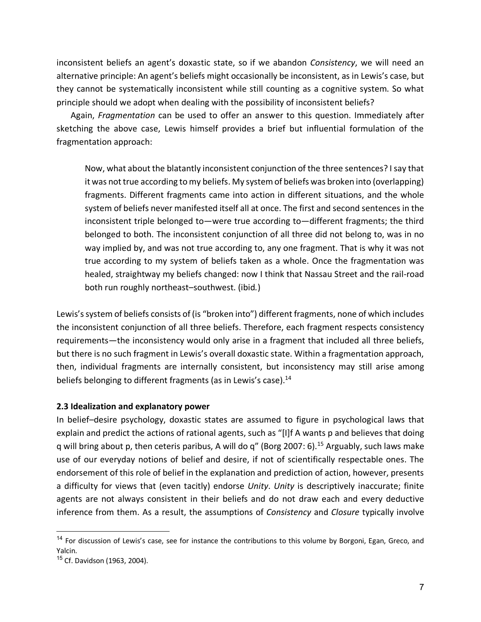inconsistent beliefs an agent's doxastic state, so if we abandon *Consistency*, we will need an alternative principle: An agent's beliefs might occasionally be inconsistent, as in Lewis's case, but they cannot be systematically inconsistent while still counting as a cognitive system. So what principle should we adopt when dealing with the possibility of inconsistent beliefs?

Again, *Fragmentation* can be used to offer an answer to this question. Immediately after sketching the above case, Lewis himself provides a brief but influential formulation of the fragmentation approach:

Now, what about the blatantly inconsistent conjunction of the three sentences? I say that it was not true according to my beliefs. My system of beliefs was broken into (overlapping) fragments. Different fragments came into action in different situations, and the whole system of beliefs never manifested itself all at once. The first and second sentences in the inconsistent triple belonged to—were true according to—different fragments; the third belonged to both. The inconsistent conjunction of all three did not belong to, was in no way implied by, and was not true according to, any one fragment. That is why it was not true according to my system of beliefs taken as a whole. Once the fragmentation was healed, straightway my beliefs changed: now I think that Nassau Street and the rail-road both run roughly northeast–southwest. (ibid*.*)

Lewis's system of beliefs consists of (is "broken into") different fragments, none of which includes the inconsistent conjunction of all three beliefs. Therefore, each fragment respects consistency requirements—the inconsistency would only arise in a fragment that included all three beliefs, but there is no such fragment in Lewis's overall doxastic state. Within a fragmentation approach, then, individual fragments are internally consistent, but inconsistency may still arise among beliefs belonging to different fragments (as in Lewis's case).<sup>14</sup>

#### **2.3 Idealization and explanatory power**

In belief–desire psychology, doxastic states are assumed to figure in psychological laws that explain and predict the actions of rational agents, such as "[I]f A wants p and believes that doing q will bring about p, then ceteris paribus, A will do q" (Borg 2007: 6).<sup>15</sup> Arguably, such laws make use of our everyday notions of belief and desire, if not of scientifically respectable ones. The endorsement of this role of belief in the explanation and prediction of action, however, presents a difficulty for views that (even tacitly) endorse *Unity*. *Unity* is descriptively inaccurate; finite agents are not always consistent in their beliefs and do not draw each and every deductive inference from them. As a result, the assumptions of *Consistency* and *Closure* typically involve

<sup>&</sup>lt;sup>14</sup> For discussion of Lewis's case, see for instance the contributions to this volume by Borgoni, Egan, Greco, and Yalcin.

<sup>&</sup>lt;sup>15</sup> Cf. Davidson (1963, 2004).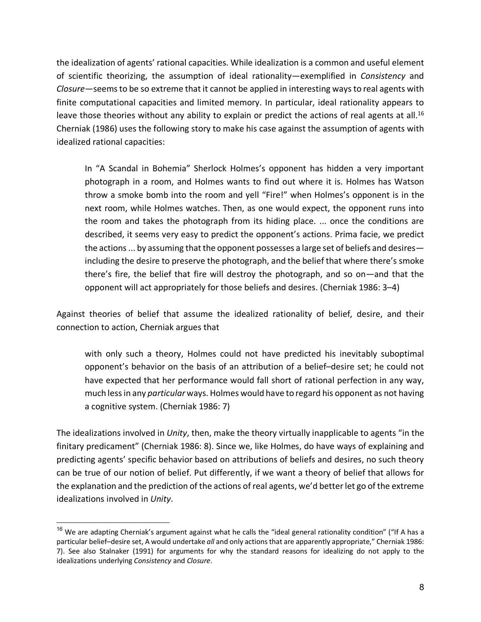the idealization of agents' rational capacities. While idealization is a common and useful element of scientific theorizing, the assumption of ideal rationality—exemplified in *Consistency* and *Closure*—seems to be so extreme that it cannot be applied in interesting ways to real agents with finite computational capacities and limited memory. In particular, ideal rationality appears to leave those theories without any ability to explain or predict the actions of real agents at all.<sup>16</sup> Cherniak (1986) uses the following story to make his case against the assumption of agents with idealized rational capacities:

In "A Scandal in Bohemia" Sherlock Holmes's opponent has hidden a very important photograph in a room, and Holmes wants to find out where it is. Holmes has Watson throw a smoke bomb into the room and yell "Fire!" when Holmes's opponent is in the next room, while Holmes watches. Then, as one would expect, the opponent runs into the room and takes the photograph from its hiding place. ... once the conditions are described, it seems very easy to predict the opponent's actions. Prima facie, we predict the actions ... by assuming that the opponent possesses a large set of beliefs and desires including the desire to preserve the photograph, and the belief that where there's smoke there's fire, the belief that fire will destroy the photograph, and so on—and that the opponent will act appropriately for those beliefs and desires. (Cherniak 1986: 3–4)

Against theories of belief that assume the idealized rationality of belief, desire, and their connection to action, Cherniak argues that

with only such a theory, Holmes could not have predicted his inevitably suboptimal opponent's behavior on the basis of an attribution of a belief–desire set; he could not have expected that her performance would fall short of rational perfection in any way, much less in any *particular* ways. Holmes would have to regard his opponent as not having a cognitive system. (Cherniak 1986: 7)

The idealizations involved in *Unity*, then, make the theory virtually inapplicable to agents "in the finitary predicament" (Cherniak 1986: 8). Since we, like Holmes, do have ways of explaining and predicting agents' specific behavior based on attributions of beliefs and desires, no such theory can be true of our notion of belief. Put differently, if we want a theory of belief that allows for the explanation and the prediction of the actions of real agents, we'd better let go of the extreme idealizations involved in *Unity*.

 $16$  We are adapting Cherniak's argument against what he calls the "ideal general rationality condition" ("If A has a particular belief–desire set, A would undertake *all* and only actions that are apparently appropriate," Cherniak 1986: 7). See also Stalnaker (1991) for arguments for why the standard reasons for idealizing do not apply to the idealizations underlying *Consistency* and *Closure*.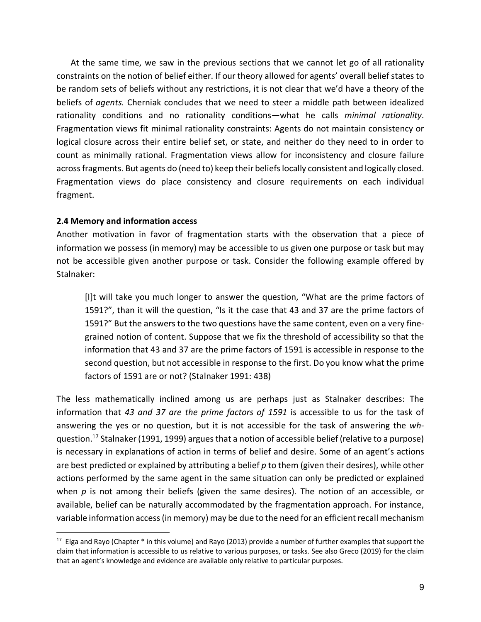At the same time, we saw in the previous sections that we cannot let go of all rationality constraints on the notion of belief either. If our theory allowed for agents' overall belief states to be random sets of beliefs without any restrictions, it is not clear that we'd have a theory of the beliefs of *agents.* Cherniak concludes that we need to steer a middle path between idealized rationality conditions and no rationality conditions—what he calls *minimal rationality*. Fragmentation views fit minimal rationality constraints: Agents do not maintain consistency or logical closure across their entire belief set, or state, and neither do they need to in order to count as minimally rational. Fragmentation views allow for inconsistency and closure failure across fragments. But agents do (need to) keep their beliefs locally consistent and logically closed. Fragmentation views do place consistency and closure requirements on each individual fragment.

#### **2.4 Memory and information access**

 $\overline{a}$ 

Another motivation in favor of fragmentation starts with the observation that a piece of information we possess (in memory) may be accessible to us given one purpose or task but may not be accessible given another purpose or task. Consider the following example offered by Stalnaker:

[I]t will take you much longer to answer the question, "What are the prime factors of 1591?", than it will the question, "Is it the case that 43 and 37 are the prime factors of 1591?" But the answers to the two questions have the same content, even on a very finegrained notion of content. Suppose that we fix the threshold of accessibility so that the information that 43 and 37 are the prime factors of 1591 is accessible in response to the second question, but not accessible in response to the first. Do you know what the prime factors of 1591 are or not? (Stalnaker 1991: 438)

The less mathematically inclined among us are perhaps just as Stalnaker describes: The information that *43 and 37 are the prime factors of 1591* is accessible to us for the task of answering the yes or no question, but it is not accessible for the task of answering the *wh*question.17 Stalnaker (1991, 1999) argues that a notion of accessible belief (relative to a purpose) is necessary in explanations of action in terms of belief and desire. Some of an agent's actions are best predicted or explained by attributing a belief *p* to them (given their desires), while other actions performed by the same agent in the same situation can only be predicted or explained when *p* is not among their beliefs (given the same desires). The notion of an accessible, or available, belief can be naturally accommodated by the fragmentation approach. For instance, variable information access (in memory) may be due to the need for an efficient recall mechanism

 $17$  Elga and Rayo (Chapter \* in this volume) and Rayo (2013) provide a number of further examples that support the claim that information is accessible to us relative to various purposes, or tasks. See also Greco (2019) for the claim that an agent's knowledge and evidence are available only relative to particular purposes.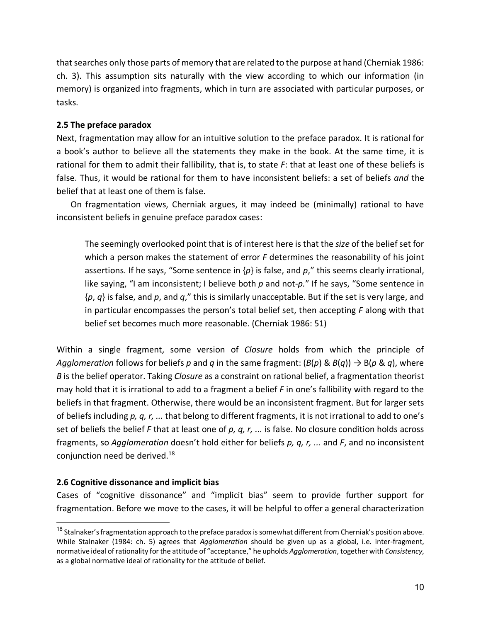that searches only those parts of memory that are related to the purpose at hand (Cherniak 1986: ch. 3). This assumption sits naturally with the view according to which our information (in memory) is organized into fragments, which in turn are associated with particular purposes, or tasks.

#### **2.5 The preface paradox**

Next, fragmentation may allow for an intuitive solution to the preface paradox. It is rational for a book's author to believe all the statements they make in the book. At the same time, it is rational for them to admit their fallibility, that is, to state *F*: that at least one of these beliefs is false. Thus, it would be rational for them to have inconsistent beliefs: a set of beliefs *and* the belief that at least one of them is false.

On fragmentation views, Cherniak argues, it may indeed be (minimally) rational to have inconsistent beliefs in genuine preface paradox cases:

The seemingly overlooked point that is of interest here is that the *size* of the belief set for which a person makes the statement of error *F* determines the reasonability of his joint assertions. If he says, "Some sentence in {*p*} is false, and *p*," this seems clearly irrational, like saying, "I am inconsistent; I believe both *p* and not-*p.*" If he says, "Some sentence in {*p*, *q*} is false, and *p*, and *q*," this is similarly unacceptable. But if the set is very large, and in particular encompasses the person's total belief set, then accepting *F* along with that belief set becomes much more reasonable. (Cherniak 1986: 51)

Within a single fragment, some version of *Closure* holds from which the principle of *Agglomeration* follows for beliefs *p* and *q* in the same fragment:  $(B(p) \& B(q)) \rightarrow B(p \& q)$ , where *B* is the belief operator. Taking *Closure* as a constraint on rational belief, a fragmentation theorist may hold that it is irrational to add to a fragment a belief *F* in one's fallibility with regard to the beliefs in that fragment. Otherwise, there would be an inconsistent fragment. But for larger sets of beliefs including *p, q, r, ...* that belong to different fragments, it is not irrational to add to one's set of beliefs the belief *F* that at least one of *p, q, r, ...* is false. No closure condition holds across fragments, so *Agglomeration* doesn't hold either for beliefs *p, q, r, ...* and *F*, and no inconsistent conjunction need be derived.18

# **2.6 Cognitive dissonance and implicit bias**

Cases of "cognitive dissonance" and "implicit bias" seem to provide further support for fragmentation. Before we move to the cases, it will be helpful to offer a general characterization

<sup>&</sup>lt;sup>18</sup> Stalnaker's fragmentation approach to the preface paradox is somewhat different from Cherniak's position above. While Stalnaker (1984: ch. 5) agrees that *Agglomeration* should be given up as a global, i.e. inter-fragment, normative ideal of rationality for the attitude of "acceptance," he upholds *Agglomeration*, together with *Consistency*, as a global normative ideal of rationality for the attitude of belief.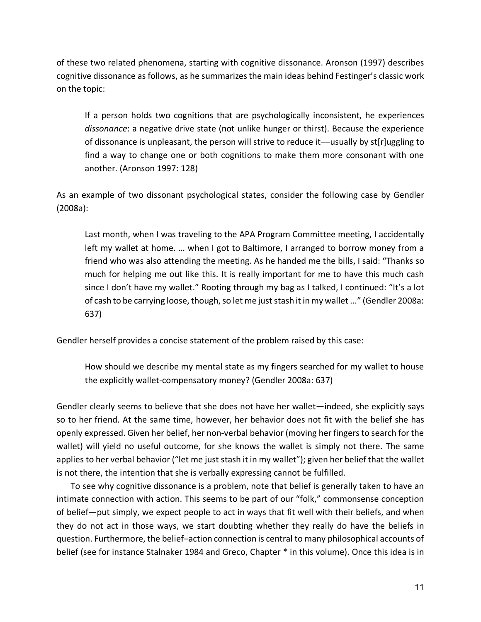of these two related phenomena, starting with cognitive dissonance. Aronson (1997) describes cognitive dissonance as follows, as he summarizes the main ideas behind Festinger's classic work on the topic:

If a person holds two cognitions that are psychologically inconsistent, he experiences *dissonance*: a negative drive state (not unlike hunger or thirst). Because the experience of dissonance is unpleasant, the person will strive to reduce it––usually by st[r]uggling to find a way to change one or both cognitions to make them more consonant with one another. (Aronson 1997: 128)

As an example of two dissonant psychological states, consider the following case by Gendler (2008a):

Last month, when I was traveling to the APA Program Committee meeting, I accidentally left my wallet at home. … when I got to Baltimore, I arranged to borrow money from a friend who was also attending the meeting. As he handed me the bills, I said: "Thanks so much for helping me out like this. It is really important for me to have this much cash since I don't have my wallet." Rooting through my bag as I talked, I continued: "It's a lot of cash to be carrying loose, though, so let me just stash it in my wallet ..." (Gendler 2008a: 637)

Gendler herself provides a concise statement of the problem raised by this case:

How should we describe my mental state as my fingers searched for my wallet to house the explicitly wallet-compensatory money? (Gendler 2008a: 637)

Gendler clearly seems to believe that she does not have her wallet—indeed, she explicitly says so to her friend. At the same time, however, her behavior does not fit with the belief she has openly expressed. Given her belief, her non-verbal behavior (moving her fingers to search for the wallet) will yield no useful outcome, for she knows the wallet is simply not there. The same applies to her verbal behavior ("let me just stash it in my wallet"); given her belief that the wallet is not there, the intention that she is verbally expressing cannot be fulfilled.

To see why cognitive dissonance is a problem, note that belief is generally taken to have an intimate connection with action. This seems to be part of our "folk," commonsense conception of belief—put simply, we expect people to act in ways that fit well with their beliefs, and when they do not act in those ways, we start doubting whether they really do have the beliefs in question. Furthermore, the belief–action connection is central to many philosophical accounts of belief (see for instance Stalnaker 1984 and Greco, Chapter \* in this volume). Once this idea is in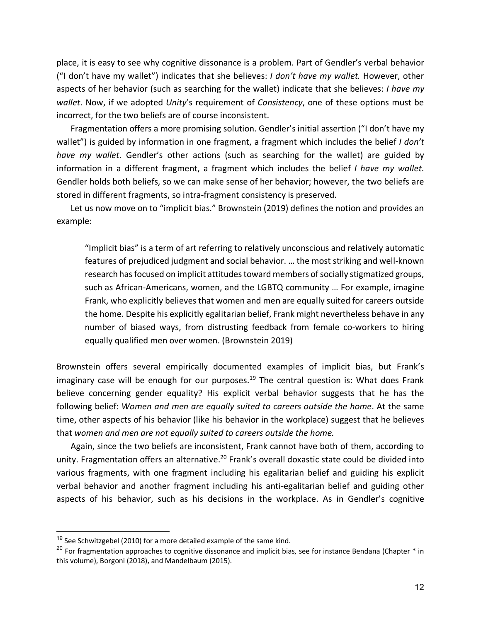place, it is easy to see why cognitive dissonance is a problem. Part of Gendler's verbal behavior ("I don't have my wallet") indicates that she believes: *I don't have my wallet.* However, other aspects of her behavior (such as searching for the wallet) indicate that she believes: *I have my wallet*. Now, if we adopted *Unity*'s requirement of *Consistency*, one of these options must be incorrect, for the two beliefs are of course inconsistent.

Fragmentation offers a more promising solution. Gendler's initial assertion ("I don't have my wallet") is guided by information in one fragment, a fragment which includes the belief *I don't have my wallet*. Gendler's other actions (such as searching for the wallet) are guided by information in a different fragment, a fragment which includes the belief *I have my wallet.*  Gendler holds both beliefs, so we can make sense of her behavior; however, the two beliefs are stored in different fragments, so intra-fragment consistency is preserved.

Let us now move on to "implicit bias." Brownstein (2019) defines the notion and provides an example:

"Implicit bias" is a term of art referring to relatively unconscious and relatively automatic features of prejudiced judgment and social behavior. … the most striking and well-known research has focused on implicit attitudes toward members of socially stigmatized groups, such as African-Americans, women, and the LGBTQ community … For example, imagine Frank, who explicitly believes that women and men are equally suited for careers outside the home. Despite his explicitly egalitarian belief, Frank might nevertheless behave in any number of biased ways, from distrusting feedback from female co-workers to hiring equally qualified men over women. (Brownstein 2019)

Brownstein offers several empirically documented examples of implicit bias, but Frank's imaginary case will be enough for our purposes.<sup>19</sup> The central question is: What does Frank believe concerning gender equality? His explicit verbal behavior suggests that he has the following belief: *Women and men are equally suited to careers outside the home*. At the same time, other aspects of his behavior (like his behavior in the workplace) suggest that he believes that *women and men are not equally suited to careers outside the home.*

Again, since the two beliefs are inconsistent, Frank cannot have both of them, according to unity. Fragmentation offers an alternative.<sup>20</sup> Frank's overall doxastic state could be divided into various fragments, with one fragment including his egalitarian belief and guiding his explicit verbal behavior and another fragment including his anti-egalitarian belief and guiding other aspects of his behavior, such as his decisions in the workplace. As in Gendler's cognitive

 $19$  See Schwitzgebel (2010) for a more detailed example of the same kind.

 $^{20}$  For fragmentation approaches to cognitive dissonance and implicit bias, see for instance Bendana (Chapter  $*$  in this volume), Borgoni (2018), and Mandelbaum (2015).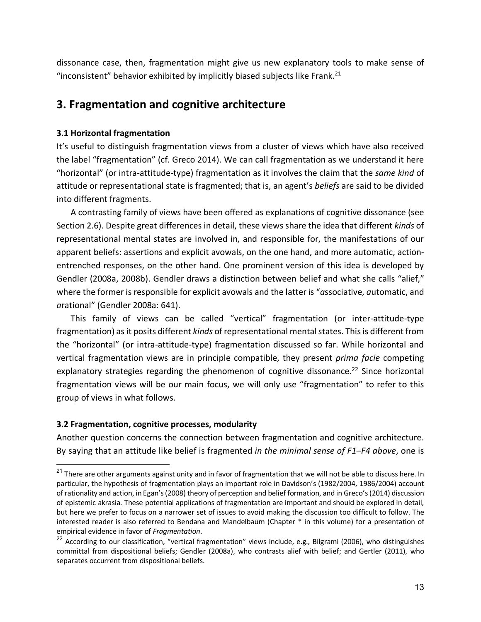dissonance case, then, fragmentation might give us new explanatory tools to make sense of "inconsistent" behavior exhibited by implicitly biased subjects like Frank.<sup>21</sup>

# **3. Fragmentation and cognitive architecture**

### **3.1 Horizontal fragmentation**

It's useful to distinguish fragmentation views from a cluster of views which have also received the label "fragmentation" (cf. Greco 2014). We can call fragmentation as we understand it here "horizontal" (or intra-attitude-type) fragmentation as it involves the claim that the *same kind* of attitude or representational state is fragmented; that is, an agent's *beliefs* are said to be divided into different fragments.

A contrasting family of views have been offered as explanations of cognitive dissonance (see Section 2.6). Despite great differences in detail, these views share the idea that different *kinds* of representational mental states are involved in, and responsible for, the manifestations of our apparent beliefs: assertions and explicit avowals, on the one hand, and more automatic, actionentrenched responses, on the other hand. One prominent version of this idea is developed by Gendler (2008a, 2008b). Gendler draws a distinction between belief and what she calls "alief," where the former is responsible for explicit avowals and the latter is "*a*ssociative, *a*utomatic, and *a*rational" (Gendler 2008a: 641).

This family of views can be called "vertical" fragmentation (or inter-attitude-type fragmentation) as it posits different *kinds* of representational mental states. This is different from the "horizontal" (or intra-attitude-type) fragmentation discussed so far. While horizontal and vertical fragmentation views are in principle compatible, they present *prima facie* competing explanatory strategies regarding the phenomenon of cognitive dissonance.<sup>22</sup> Since horizontal fragmentation views will be our main focus, we will only use "fragmentation" to refer to this group of views in what follows.

#### **3.2 Fragmentation, cognitive processes, modularity**

Another question concerns the connection between fragmentation and cognitive architecture. By saying that an attitude like belief is fragmented *in the minimal sense of F1–F4 above*, one is

<sup>&</sup>lt;sup>21</sup> There are other arguments against unity and in favor of fragmentation that we will not be able to discuss here. In particular, the hypothesis of fragmentation plays an important role in Davidson's (1982/2004, 1986/2004) account of rationality and action, in Egan's (2008) theory of perception and belief formation, and in Greco's (2014) discussion of epistemic akrasia. These potential applications of fragmentation are important and should be explored in detail, but here we prefer to focus on a narrower set of issues to avoid making the discussion too difficult to follow. The interested reader is also referred to Bendana and Mandelbaum (Chapter \* in this volume) for a presentation of empirical evidence in favor of *Fragmentation*.

<sup>&</sup>lt;sup>22</sup> According to our classification, "vertical fragmentation" views include, e.g., Bilgrami (2006), who distinguishes committal from dispositional beliefs; Gendler (2008a), who contrasts alief with belief; and Gertler (2011), who separates occurrent from dispositional beliefs.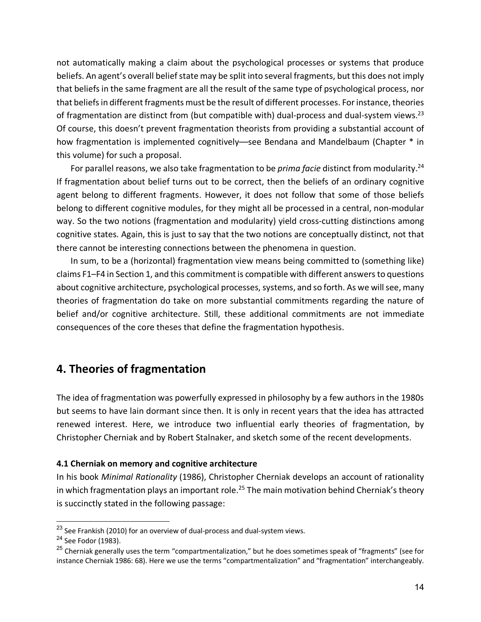not automatically making a claim about the psychological processes or systems that produce beliefs. An agent's overall belief state may be split into several fragments, but this does not imply that beliefs in the same fragment are all the result of the same type of psychological process, nor that beliefs in different fragments must be the result of different processes. For instance, theories of fragmentation are distinct from (but compatible with) dual-process and dual-system views.<sup>23</sup> Of course, this doesn't prevent fragmentation theorists from providing a substantial account of how fragmentation is implemented cognitively––see Bendana and Mandelbaum (Chapter \* in this volume) for such a proposal.

For parallel reasons, we also take fragmentation to be *prima facie* distinct from modularity.24 If fragmentation about belief turns out to be correct, then the beliefs of an ordinary cognitive agent belong to different fragments. However, it does not follow that some of those beliefs belong to different cognitive modules, for they might all be processed in a central, non-modular way. So the two notions (fragmentation and modularity) yield cross-cutting distinctions among cognitive states. Again, this is just to say that the two notions are conceptually distinct, not that there cannot be interesting connections between the phenomena in question.

In sum, to be a (horizontal) fragmentation view means being committed to (something like) claims F1–F4 in Section 1, and this commitment is compatible with different answers to questions about cognitive architecture, psychological processes, systems, and so forth. As we will see, many theories of fragmentation do take on more substantial commitments regarding the nature of belief and/or cognitive architecture. Still, these additional commitments are not immediate consequences of the core theses that define the fragmentation hypothesis.

# **4. Theories of fragmentation**

The idea of fragmentation was powerfully expressed in philosophy by a few authors in the 1980s but seems to have lain dormant since then. It is only in recent years that the idea has attracted renewed interest. Here, we introduce two influential early theories of fragmentation, by Christopher Cherniak and by Robert Stalnaker, and sketch some of the recent developments.

#### **4.1 Cherniak on memory and cognitive architecture**

In his book *Minimal Rationality* (1986), Christopher Cherniak develops an account of rationality in which fragmentation plays an important role.<sup>25</sup> The main motivation behind Cherniak's theory is succinctly stated in the following passage:

 $^{23}$  See Frankish (2010) for an overview of dual-process and dual-system views.

<sup>24</sup> See Fodor (1983).

<sup>&</sup>lt;sup>25</sup> Cherniak generally uses the term "compartmentalization," but he does sometimes speak of "fragments" (see for instance Cherniak 1986: 68). Here we use the terms "compartmentalization" and "fragmentation" interchangeably.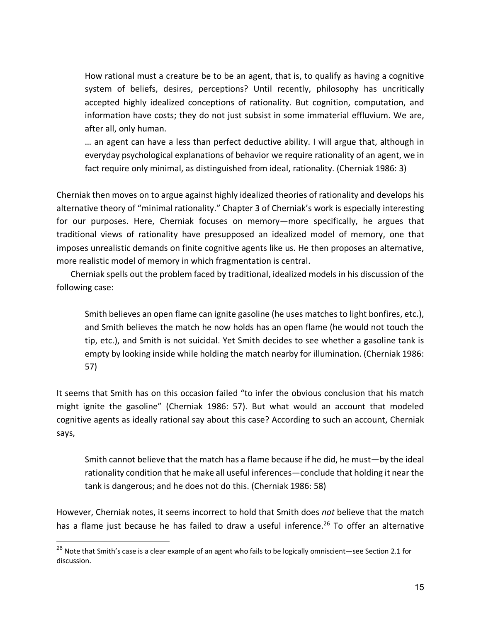How rational must a creature be to be an agent, that is, to qualify as having a cognitive system of beliefs, desires, perceptions? Until recently, philosophy has uncritically accepted highly idealized conceptions of rationality. But cognition, computation, and information have costs; they do not just subsist in some immaterial effluvium. We are, after all, only human.

… an agent can have a less than perfect deductive ability. I will argue that, although in everyday psychological explanations of behavior we require rationality of an agent, we in fact require only minimal, as distinguished from ideal, rationality. (Cherniak 1986: 3)

Cherniak then moves on to argue against highly idealized theories of rationality and develops his alternative theory of "minimal rationality." Chapter 3 of Cherniak's work is especially interesting for our purposes. Here, Cherniak focuses on memory—more specifically, he argues that traditional views of rationality have presupposed an idealized model of memory, one that imposes unrealistic demands on finite cognitive agents like us. He then proposes an alternative, more realistic model of memory in which fragmentation is central.

Cherniak spells out the problem faced by traditional, idealized models in his discussion of the following case:

Smith believes an open flame can ignite gasoline (he uses matches to light bonfires, etc.), and Smith believes the match he now holds has an open flame (he would not touch the tip, etc.), and Smith is not suicidal. Yet Smith decides to see whether a gasoline tank is empty by looking inside while holding the match nearby for illumination. (Cherniak 1986: 57)

It seems that Smith has on this occasion failed "to infer the obvious conclusion that his match might ignite the gasoline" (Cherniak 1986: 57). But what would an account that modeled cognitive agents as ideally rational say about this case? According to such an account, Cherniak says,

Smith cannot believe that the match has a flame because if he did, he must—by the ideal rationality condition that he make all useful inferences—conclude that holding it near the tank is dangerous; and he does not do this. (Cherniak 1986: 58)

However, Cherniak notes, it seems incorrect to hold that Smith does *not* believe that the match has a flame just because he has failed to draw a useful inference.<sup>26</sup> To offer an alternative

<sup>&</sup>lt;sup>26</sup> Note that Smith's case is a clear example of an agent who fails to be logically omniscient—see Section 2.1 for discussion.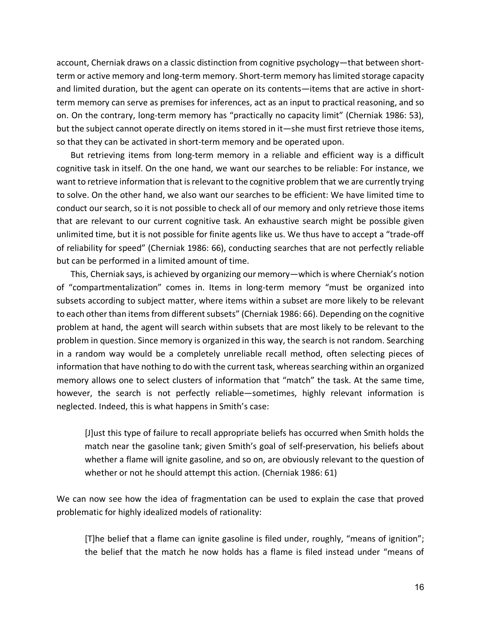account, Cherniak draws on a classic distinction from cognitive psychology—that between shortterm or active memory and long-term memory. Short-term memory has limited storage capacity and limited duration, but the agent can operate on its contents—items that are active in shortterm memory can serve as premises for inferences, act as an input to practical reasoning, and so on. On the contrary, long-term memory has "practically no capacity limit" (Cherniak 1986: 53), but the subject cannot operate directly on items stored in it—she must first retrieve those items, so that they can be activated in short-term memory and be operated upon.

But retrieving items from long-term memory in a reliable and efficient way is a difficult cognitive task in itself. On the one hand, we want our searches to be reliable: For instance, we want to retrieve information that is relevant to the cognitive problem that we are currently trying to solve. On the other hand, we also want our searches to be efficient: We have limited time to conduct our search, so it is not possible to check all of our memory and only retrieve those items that are relevant to our current cognitive task. An exhaustive search might be possible given unlimited time, but it is not possible for finite agents like us. We thus have to accept a "trade-off of reliability for speed" (Cherniak 1986: 66), conducting searches that are not perfectly reliable but can be performed in a limited amount of time.

This, Cherniak says, is achieved by organizing our memory—which is where Cherniak's notion of "compartmentalization" comes in. Items in long-term memory "must be organized into subsets according to subject matter, where items within a subset are more likely to be relevant to each other than items from different subsets" (Cherniak 1986: 66). Depending on the cognitive problem at hand, the agent will search within subsets that are most likely to be relevant to the problem in question. Since memory is organized in this way, the search is not random. Searching in a random way would be a completely unreliable recall method, often selecting pieces of information that have nothing to do with the current task, whereas searching within an organized memory allows one to select clusters of information that "match" the task. At the same time, however, the search is not perfectly reliable—sometimes, highly relevant information is neglected. Indeed, this is what happens in Smith's case:

[J]ust this type of failure to recall appropriate beliefs has occurred when Smith holds the match near the gasoline tank; given Smith's goal of self-preservation, his beliefs about whether a flame will ignite gasoline, and so on, are obviously relevant to the question of whether or not he should attempt this action. (Cherniak 1986: 61)

We can now see how the idea of fragmentation can be used to explain the case that proved problematic for highly idealized models of rationality:

[T]he belief that a flame can ignite gasoline is filed under, roughly, "means of ignition"; the belief that the match he now holds has a flame is filed instead under "means of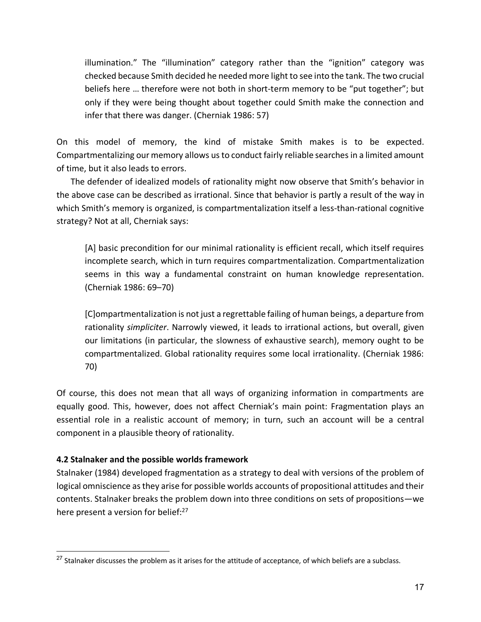illumination." The "illumination" category rather than the "ignition" category was checked because Smith decided he needed more light to see into the tank. The two crucial beliefs here … therefore were not both in short-term memory to be "put together"; but only if they were being thought about together could Smith make the connection and infer that there was danger. (Cherniak 1986: 57)

On this model of memory, the kind of mistake Smith makes is to be expected. Compartmentalizing our memory allows us to conduct fairly reliable searches in a limited amount of time, but it also leads to errors.

The defender of idealized models of rationality might now observe that Smith's behavior in the above case can be described as irrational. Since that behavior is partly a result of the way in which Smith's memory is organized, is compartmentalization itself a less-than-rational cognitive strategy? Not at all, Cherniak says:

[A] basic precondition for our minimal rationality is efficient recall, which itself requires incomplete search, which in turn requires compartmentalization. Compartmentalization seems in this way a fundamental constraint on human knowledge representation. (Cherniak 1986: 69–70)

[C]ompartmentalization is not just a regrettable failing of human beings, a departure from rationality *simpliciter*. Narrowly viewed, it leads to irrational actions, but overall, given our limitations (in particular, the slowness of exhaustive search), memory ought to be compartmentalized. Global rationality requires some local irrationality. (Cherniak 1986: 70)

Of course, this does not mean that all ways of organizing information in compartments are equally good. This, however, does not affect Cherniak's main point: Fragmentation plays an essential role in a realistic account of memory; in turn, such an account will be a central component in a plausible theory of rationality.

#### **4.2 Stalnaker and the possible worlds framework**

Stalnaker (1984) developed fragmentation as a strategy to deal with versions of the problem of logical omniscience as they arise for possible worlds accounts of propositional attitudes and their contents. Stalnaker breaks the problem down into three conditions on sets of propositions—we here present a version for belief:<sup>27</sup>

 $27$  Stalnaker discusses the problem as it arises for the attitude of acceptance, of which beliefs are a subclass.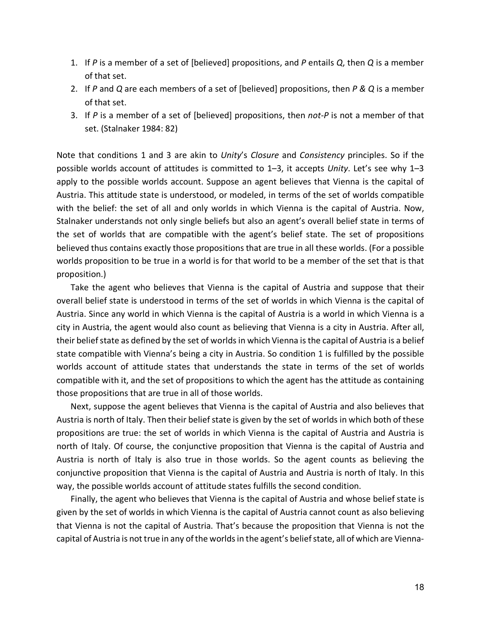- 1. If *P* is a member of a set of [believed] propositions, and *P* entails *Q*, then *Q* is a member of that set.
- 2. If *P* and *Q* are each members of a set of [believed] propositions, then *P & Q* is a member of that set.
- 3. If *P* is a member of a set of [believed] propositions, then *not-P* is not a member of that set. (Stalnaker 1984: 82)

Note that conditions 1 and 3 are akin to *Unity*'s *Closure* and *Consistency* principles. So if the possible worlds account of attitudes is committed to 1–3, it accepts *Unity*. Let's see why 1–3 apply to the possible worlds account. Suppose an agent believes that Vienna is the capital of Austria. This attitude state is understood, or modeled, in terms of the set of worlds compatible with the belief: the set of all and only worlds in which Vienna is the capital of Austria. Now, Stalnaker understands not only single beliefs but also an agent's overall belief state in terms of the set of worlds that are compatible with the agent's belief state. The set of propositions believed thus contains exactly those propositions that are true in all these worlds. (For a possible worlds proposition to be true in a world is for that world to be a member of the set that is that proposition.)

Take the agent who believes that Vienna is the capital of Austria and suppose that their overall belief state is understood in terms of the set of worlds in which Vienna is the capital of Austria. Since any world in which Vienna is the capital of Austria is a world in which Vienna is a city in Austria, the agent would also count as believing that Vienna is a city in Austria. After all, their belief state as defined by the set of worlds in which Vienna is the capital of Austria is a belief state compatible with Vienna's being a city in Austria. So condition 1 is fulfilled by the possible worlds account of attitude states that understands the state in terms of the set of worlds compatible with it, and the set of propositions to which the agent has the attitude as containing those propositions that are true in all of those worlds.

Next, suppose the agent believes that Vienna is the capital of Austria and also believes that Austria is north of Italy. Then their belief state is given by the set of worlds in which both of these propositions are true: the set of worlds in which Vienna is the capital of Austria and Austria is north of Italy. Of course, the conjunctive proposition that Vienna is the capital of Austria and Austria is north of Italy is also true in those worlds. So the agent counts as believing the conjunctive proposition that Vienna is the capital of Austria and Austria is north of Italy. In this way, the possible worlds account of attitude states fulfills the second condition.

Finally, the agent who believes that Vienna is the capital of Austria and whose belief state is given by the set of worlds in which Vienna is the capital of Austria cannot count as also believing that Vienna is not the capital of Austria. That's because the proposition that Vienna is not the capital of Austria is not true in any of the worlds in the agent's belief state, all of which are Vienna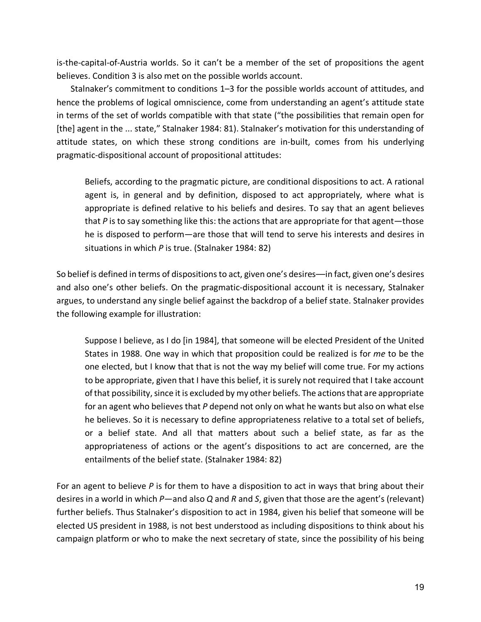is-the-capital-of-Austria worlds. So it can't be a member of the set of propositions the agent believes. Condition 3 is also met on the possible worlds account.

Stalnaker's commitment to conditions 1–3 for the possible worlds account of attitudes, and hence the problems of logical omniscience, come from understanding an agent's attitude state in terms of the set of worlds compatible with that state ("the possibilities that remain open for [the] agent in the ... state," Stalnaker 1984: 81). Stalnaker's motivation for this understanding of attitude states, on which these strong conditions are in-built, comes from his underlying pragmatic-dispositional account of propositional attitudes:

Beliefs, according to the pragmatic picture, are conditional dispositions to act. A rational agent is, in general and by definition, disposed to act appropriately, where what is appropriate is defined relative to his beliefs and desires. To say that an agent believes that *P* is to say something like this: the actions that are appropriate for that agent—those he is disposed to perform—are those that will tend to serve his interests and desires in situations in which *P* is true. (Stalnaker 1984: 82)

So belief is defined in terms of dispositions to act, given one's desires––in fact, given one's desires and also one's other beliefs. On the pragmatic-dispositional account it is necessary, Stalnaker argues, to understand any single belief against the backdrop of a belief state. Stalnaker provides the following example for illustration:

Suppose I believe, as I do [in 1984], that someone will be elected President of the United States in 1988. One way in which that proposition could be realized is for *me* to be the one elected, but I know that that is not the way my belief will come true. For my actions to be appropriate, given that I have this belief, it is surely not required that I take account of that possibility, since it is excluded by my other beliefs. The actions that are appropriate for an agent who believes that *P* depend not only on what he wants but also on what else he believes. So it is necessary to define appropriateness relative to a total set of beliefs, or a belief state. And all that matters about such a belief state, as far as the appropriateness of actions or the agent's dispositions to act are concerned, are the entailments of the belief state. (Stalnaker 1984: 82)

For an agent to believe *P* is for them to have a disposition to act in ways that bring about their desires in a world in which *P*—and also *Q* and *R* and *S*, given that those are the agent's (relevant) further beliefs. Thus Stalnaker's disposition to act in 1984, given his belief that someone will be elected US president in 1988, is not best understood as including dispositions to think about his campaign platform or who to make the next secretary of state, since the possibility of his being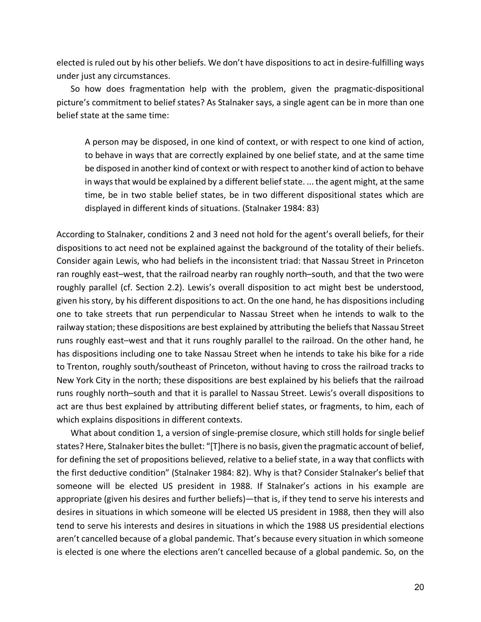elected is ruled out by his other beliefs. We don't have dispositions to act in desire-fulfilling ways under just any circumstances.

So how does fragmentation help with the problem, given the pragmatic-dispositional picture's commitment to belief states? As Stalnaker says, a single agent can be in more than one belief state at the same time:

A person may be disposed, in one kind of context, or with respect to one kind of action, to behave in ways that are correctly explained by one belief state, and at the same time be disposed in another kind of context or with respect to another kind of action to behave in ways that would be explained by a different belief state. ... the agent might, at the same time, be in two stable belief states, be in two different dispositional states which are displayed in different kinds of situations. (Stalnaker 1984: 83)

According to Stalnaker, conditions 2 and 3 need not hold for the agent's overall beliefs, for their dispositions to act need not be explained against the background of the totality of their beliefs. Consider again Lewis, who had beliefs in the inconsistent triad: that Nassau Street in Princeton ran roughly east–west, that the railroad nearby ran roughly north–south, and that the two were roughly parallel (cf. Section 2.2). Lewis's overall disposition to act might best be understood, given his story, by his different dispositions to act. On the one hand, he has dispositions including one to take streets that run perpendicular to Nassau Street when he intends to walk to the railway station; these dispositions are best explained by attributing the beliefs that Nassau Street runs roughly east–west and that it runs roughly parallel to the railroad. On the other hand, he has dispositions including one to take Nassau Street when he intends to take his bike for a ride to Trenton, roughly south/southeast of Princeton, without having to cross the railroad tracks to New York City in the north; these dispositions are best explained by his beliefs that the railroad runs roughly north–south and that it is parallel to Nassau Street. Lewis's overall dispositions to act are thus best explained by attributing different belief states, or fragments, to him, each of which explains dispositions in different contexts.

What about condition 1, a version of single-premise closure, which still holds for single belief states? Here, Stalnaker bites the bullet: "[T]here is no basis, given the pragmatic account of belief, for defining the set of propositions believed, relative to a belief state, in a way that conflicts with the first deductive condition" (Stalnaker 1984: 82). Why is that? Consider Stalnaker's belief that someone will be elected US president in 1988. If Stalnaker's actions in his example are appropriate (given his desires and further beliefs)—that is, if they tend to serve his interests and desires in situations in which someone will be elected US president in 1988, then they will also tend to serve his interests and desires in situations in which the 1988 US presidential elections aren't cancelled because of a global pandemic. That's because every situation in which someone is elected is one where the elections aren't cancelled because of a global pandemic. So, on the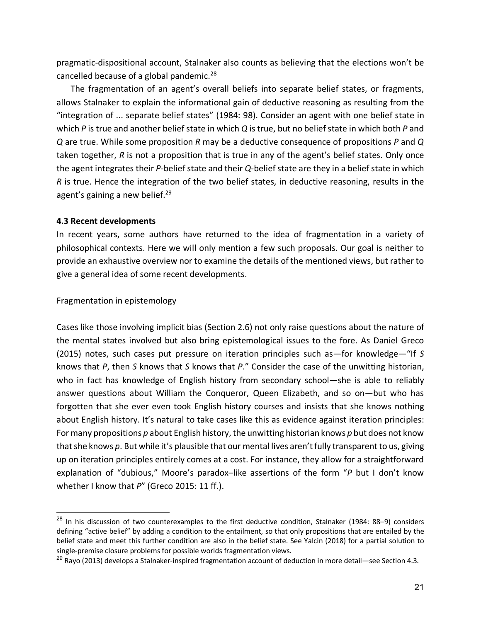pragmatic-dispositional account, Stalnaker also counts as believing that the elections won't be cancelled because of a global pandemic.<sup>28</sup>

The fragmentation of an agent's overall beliefs into separate belief states, or fragments, allows Stalnaker to explain the informational gain of deductive reasoning as resulting from the "integration of ... separate belief states" (1984: 98). Consider an agent with one belief state in which *P* is true and another belief state in which *Q* is true, but no belief state in which both *P* and *Q* are true. While some proposition *R* may be a deductive consequence of propositions *P* and *Q*  taken together, *R* is not a proposition that is true in any of the agent's belief states. Only once the agent integrates their *P*-belief state and their *Q*-belief state are they in a belief state in which *R* is true. Hence the integration of the two belief states, in deductive reasoning, results in the agent's gaining a new belief.<sup>29</sup>

#### **4.3 Recent developments**

In recent years, some authors have returned to the idea of fragmentation in a variety of philosophical contexts. Here we will only mention a few such proposals. Our goal is neither to provide an exhaustive overview nor to examine the details of the mentioned views, but rather to give a general idea of some recent developments.

#### Fragmentation in epistemology

Cases like those involving implicit bias (Section 2.6) not only raise questions about the nature of the mental states involved but also bring epistemological issues to the fore. As Daniel Greco (2015) notes, such cases put pressure on iteration principles such as—for knowledge—"If *S* knows that *P*, then *S* knows that *S* knows that *P*." Consider the case of the unwitting historian, who in fact has knowledge of English history from secondary school—she is able to reliably answer questions about William the Conqueror, Queen Elizabeth, and so on—but who has forgotten that she ever even took English history courses and insists that she knows nothing about English history. It's natural to take cases like this as evidence against iteration principles: For many propositions *p* about English history, the unwitting historian knows *p* but does not know that she knows *p*. But while it's plausible that our mental lives aren't fully transparent to us, giving up on iteration principles entirely comes at a cost. For instance, they allow for a straightforward explanation of "dubious," Moore's paradox–like assertions of the form "*P* but I don't know whether I know that *P*" (Greco 2015: 11 ff.).

<sup>&</sup>lt;sup>28</sup> In his discussion of two counterexamples to the first deductive condition, Stalnaker (1984: 88–9) considers defining "active belief" by adding a condition to the entailment, so that only propositions that are entailed by the belief state and meet this further condition are also in the belief state. See Yalcin (2018) for a partial solution to single-premise closure problems for possible worlds fragmentation views.

<sup>&</sup>lt;sup>29</sup> Ravo (2013) develops a Stalnaker-inspired fragmentation account of deduction in more detail—see Section 4.3.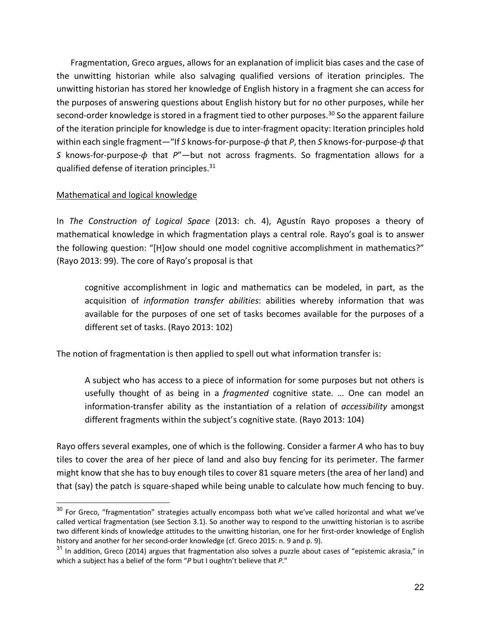Fragmentation, Greco argues, allows for an explanation of implicit bias cases and the case of the unwitting historian while also salvaging qualified versions of iteration principles. The unwitting historian has stored her knowledge of English history in a fragment she can access for the purposes of answering questions about English history but for no other purposes, while her second-order knowledge is stored in a fragment tied to other purposes.<sup>30</sup> So the apparent failure of the iteration principle for knowledge is due to inter-fragment opacity: Iteration principles hold within each single fragment—"If *S* knows-for-purpose- $\phi$  that *P*, then *S* knows-for-purpose- $\phi$  that *S* knows-for-purpose- $\phi$  that *P*"-but not across fragments. So fragmentation allows for a qualified defense of iteration principles.31

#### Mathematical and logical knowledge

In *The Construction of Logical Space* (2013: ch. 4), Agustín Rayo proposes a theory of mathematical knowledge in which fragmentation plays a central role. Rayo's goal is to answer the following question: "[H]ow should one model cognitive accomplishment in mathematics?" (Rayo 2013: 99). The core of Rayo's proposal is that

cognitive accomplishment in logic and mathematics can be modeled, in part, as the acquisition of *information transfer abilities*: abilities whereby information that was available for the purposes of one set of tasks becomes available for the purposes of a different set of tasks. (Rayo 2013: 102)

The notion of fragmentation is then applied to spell out what information transfer is:

A subject who has access to a piece of information for some purposes but not others is usefully thought of as being in a *fragmented* cognitive state. … One can model an information-transfer ability as the instantiation of a relation of *accessibility* amongst different fragments within the subject's cognitive state. (Rayo 2013: 104)

Rayo offers several examples, one of which is the following. Consider a farmer *A* who has to buy tiles to cover the area of her piece of land and also buy fencing for its perimeter. The farmer might know that she has to buy enough tiles to cover 81 square meters (the area of her land) and that (say) the patch is square-shaped while being unable to calculate how much fencing to buy.

 $30$  For Greco, "fragmentation" strategies actually encompass both what we've called horizontal and what we've called vertical fragmentation (see Section 3.1). So another way to respond to the unwitting historian is to ascribe two different kinds of knowledge attitudes to the unwitting historian, one for her first-order knowledge of English history and another for her second-order knowledge (cf. Greco 2015: n. 9 and p. 9).

 $31$  In addition, Greco (2014) argues that fragmentation also solves a puzzle about cases of "epistemic akrasia," in which a subject has a belief of the form "*P* but I oughtn't believe that *P*."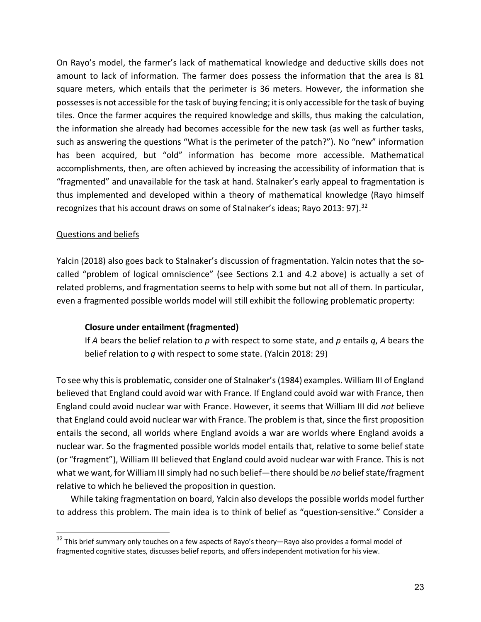On Rayo's model, the farmer's lack of mathematical knowledge and deductive skills does not amount to lack of information. The farmer does possess the information that the area is 81 square meters, which entails that the perimeter is 36 meters. However, the information she possesses is not accessible for the task of buying fencing; it is only accessible for the task of buying tiles. Once the farmer acquires the required knowledge and skills, thus making the calculation, the information she already had becomes accessible for the new task (as well as further tasks, such as answering the questions "What is the perimeter of the patch?"). No "new" information has been acquired, but "old" information has become more accessible. Mathematical accomplishments, then, are often achieved by increasing the accessibility of information that is "fragmented" and unavailable for the task at hand. Stalnaker's early appeal to fragmentation is thus implemented and developed within a theory of mathematical knowledge (Rayo himself recognizes that his account draws on some of Stalnaker's ideas; Rayo 2013: 97).32

#### Questions and beliefs

Yalcin (2018) also goes back to Stalnaker's discussion of fragmentation. Yalcin notes that the socalled "problem of logical omniscience" (see Sections 2.1 and 4.2 above) is actually a set of related problems, and fragmentation seems to help with some but not all of them. In particular, even a fragmented possible worlds model will still exhibit the following problematic property:

#### **Closure under entailment (fragmented)**

If *A* bears the belief relation to *p* with respect to some state, and *p* entails *q*, *A* bears the belief relation to *q* with respect to some state. (Yalcin 2018: 29)

To see why this is problematic, consider one of Stalnaker's (1984) examples. William III of England believed that England could avoid war with France. If England could avoid war with France, then England could avoid nuclear war with France. However, it seems that William III did *not* believe that England could avoid nuclear war with France. The problem is that, since the first proposition entails the second, all worlds where England avoids a war are worlds where England avoids a nuclear war. So the fragmented possible worlds model entails that, relative to some belief state (or "fragment"), William III believed that England could avoid nuclear war with France. This is not what we want, for William III simply had no such belief—there should be *no* belief state/fragment relative to which he believed the proposition in question.

While taking fragmentation on board, Yalcin also develops the possible worlds model further to address this problem. The main idea is to think of belief as "question-sensitive." Consider a

<sup>&</sup>lt;sup>32</sup> This brief summary only touches on a few aspects of Rayo's theory—Rayo also provides a formal model of fragmented cognitive states, discusses belief reports, and offers independent motivation for his view.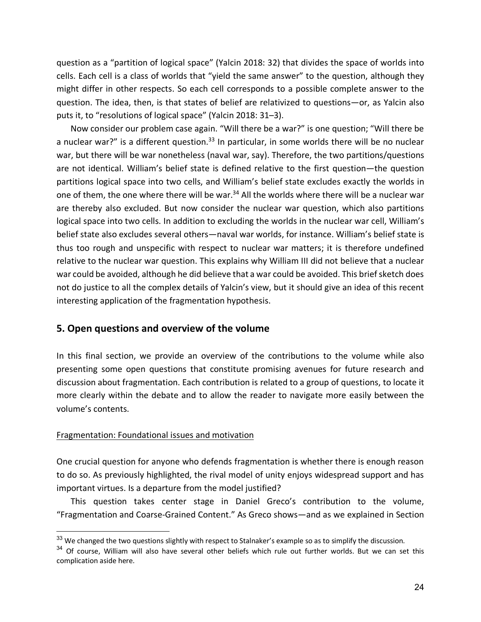question as a "partition of logical space" (Yalcin 2018: 32) that divides the space of worlds into cells. Each cell is a class of worlds that "yield the same answer" to the question, although they might differ in other respects. So each cell corresponds to a possible complete answer to the question. The idea, then, is that states of belief are relativized to questions—or, as Yalcin also puts it, to "resolutions of logical space" (Yalcin 2018: 31–3).

Now consider our problem case again. "Will there be a war?" is one question; "Will there be a nuclear war?" is a different question.<sup>33</sup> In particular, in some worlds there will be no nuclear war, but there will be war nonetheless (naval war, say). Therefore, the two partitions/questions are not identical. William's belief state is defined relative to the first question—the question partitions logical space into two cells, and William's belief state excludes exactly the worlds in one of them, the one where there will be war.<sup>34</sup> All the worlds where there will be a nuclear war are thereby also excluded. But now consider the nuclear war question, which also partitions logical space into two cells. In addition to excluding the worlds in the nuclear war cell, William's belief state also excludes several others—naval war worlds, for instance. William's belief state is thus too rough and unspecific with respect to nuclear war matters; it is therefore undefined relative to the nuclear war question. This explains why William III did not believe that a nuclear war could be avoided, although he did believe that a war could be avoided. This brief sketch does not do justice to all the complex details of Yalcin's view, but it should give an idea of this recent interesting application of the fragmentation hypothesis.

# **5. Open questions and overview of the volume**

In this final section, we provide an overview of the contributions to the volume while also presenting some open questions that constitute promising avenues for future research and discussion about fragmentation. Each contribution is related to a group of questions, to locate it more clearly within the debate and to allow the reader to navigate more easily between the volume's contents.

#### Fragmentation: Foundational issues and motivation

One crucial question for anyone who defends fragmentation is whether there is enough reason to do so. As previously highlighted, the rival model of unity enjoys widespread support and has important virtues. Is a departure from the model justified?

This question takes center stage in Daniel Greco's contribution to the volume, "Fragmentation and Coarse-Grained Content." As Greco shows—and as we explained in Section

<sup>&</sup>lt;sup>33</sup> We changed the two questions slightly with respect to Stalnaker's example so as to simplify the discussion.

<sup>&</sup>lt;sup>34</sup> Of course, William will also have several other beliefs which rule out further worlds. But we can set this complication aside here.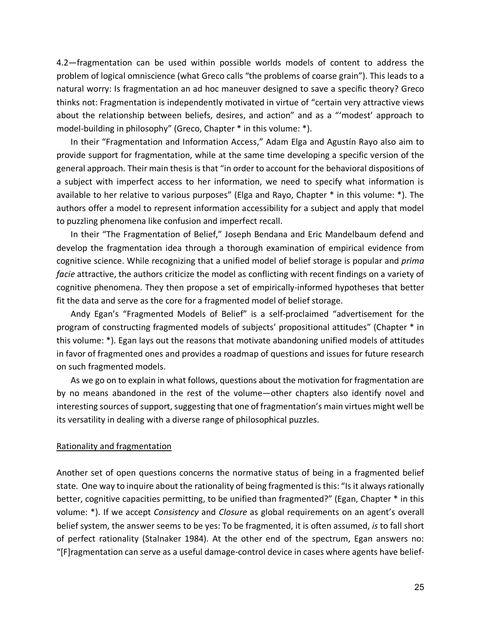4.2—fragmentation can be used within possible worlds models of content to address the problem of logical omniscience (what Greco calls "the problems of coarse grain"). This leads to a natural worry: Is fragmentation an ad hoc maneuver designed to save a specific theory? Greco thinks not: Fragmentation is independently motivated in virtue of "certain very attractive views about the relationship between beliefs, desires, and action" and as a "'modest' approach to model-building in philosophy" (Greco, Chapter \* in this volume: \*).

In their "Fragmentation and Information Access," Adam Elga and Agustín Rayo also aim to provide support for fragmentation, while at the same time developing a specific version of the general approach. Their main thesis is that "in order to account for the behavioral dispositions of a subject with imperfect access to her information, we need to specify what information is available to her relative to various purposes" (Elga and Rayo, Chapter \* in this volume: \*). The authors offer a model to represent information accessibility for a subject and apply that model to puzzling phenomena like confusion and imperfect recall.

In their "The Fragmentation of Belief," Joseph Bendana and Eric Mandelbaum defend and develop the fragmentation idea through a thorough examination of empirical evidence from cognitive science. While recognizing that a unified model of belief storage is popular and *prima facie* attractive, the authors criticize the model as conflicting with recent findings on a variety of cognitive phenomena. They then propose a set of empirically-informed hypotheses that better fit the data and serve as the core for a fragmented model of belief storage.

Andy Egan's "Fragmented Models of Belief" is a self-proclaimed "advertisement for the program of constructing fragmented models of subjects' propositional attitudes" (Chapter \* in this volume: \*). Egan lays out the reasons that motivate abandoning unified models of attitudes in favor of fragmented ones and provides a roadmap of questions and issues for future research on such fragmented models.

As we go on to explain in what follows, questions about the motivation for fragmentation are by no means abandoned in the rest of the volume—other chapters also identify novel and interesting sources of support, suggesting that one of fragmentation's main virtues might well be its versatility in dealing with a diverse range of philosophical puzzles.

#### Rationality and fragmentation

Another set of open questions concerns the normative status of being in a fragmented belief state. One way to inquire about the rationality of being fragmented is this: "Is it always rationally better, cognitive capacities permitting, to be unified than fragmented?" (Egan, Chapter \* in this volume: \*). If we accept *Consistency* and *Closure* as global requirements on an agent's overall belief system, the answer seems to be yes: To be fragmented, it is often assumed, *is* to fall short of perfect rationality (Stalnaker 1984). At the other end of the spectrum, Egan answers no: "[F]ragmentation can serve as a useful damage-control device in cases where agents have belief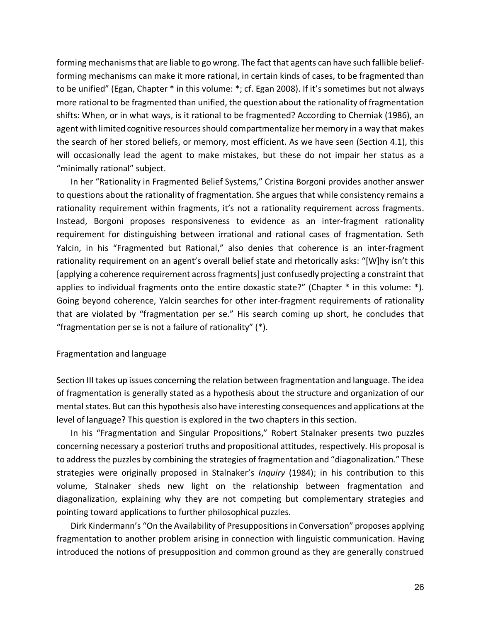forming mechanisms that are liable to go wrong. The fact that agents can have such fallible beliefforming mechanisms can make it more rational, in certain kinds of cases, to be fragmented than to be unified" (Egan, Chapter \* in this volume: \*; cf. Egan 2008). If it's sometimes but not always more rational to be fragmented than unified, the question about the rationality of fragmentation shifts: When, or in what ways, is it rational to be fragmented? According to Cherniak (1986), an agent with limited cognitive resources should compartmentalize her memory in a way that makes the search of her stored beliefs, or memory, most efficient. As we have seen (Section 4.1), this will occasionally lead the agent to make mistakes, but these do not impair her status as a "minimally rational" subject.

In her "Rationality in Fragmented Belief Systems," Cristina Borgoni provides another answer to questions about the rationality of fragmentation. She argues that while consistency remains a rationality requirement within fragments, it's not a rationality requirement across fragments. Instead, Borgoni proposes responsiveness to evidence as an inter-fragment rationality requirement for distinguishing between irrational and rational cases of fragmentation. Seth Yalcin, in his "Fragmented but Rational," also denies that coherence is an inter-fragment rationality requirement on an agent's overall belief state and rhetorically asks: "[W]hy isn't this [applying a coherence requirement across fragments] just confusedly projecting a constraint that applies to individual fragments onto the entire doxastic state?" (Chapter \* in this volume: \*). Going beyond coherence, Yalcin searches for other inter-fragment requirements of rationality that are violated by "fragmentation per se." His search coming up short, he concludes that "fragmentation per se is not a failure of rationality" (\*).

#### Fragmentation and language

Section III takes up issues concerning the relation between fragmentation and language. The idea of fragmentation is generally stated as a hypothesis about the structure and organization of our mental states. But can this hypothesis also have interesting consequences and applications at the level of language? This question is explored in the two chapters in this section.

In his "Fragmentation and Singular Propositions," Robert Stalnaker presents two puzzles concerning necessary a posteriori truths and propositional attitudes, respectively. His proposal is to address the puzzles by combining the strategies of fragmentation and "diagonalization." These strategies were originally proposed in Stalnaker's *Inquiry* (1984); in his contribution to this volume, Stalnaker sheds new light on the relationship between fragmentation and diagonalization, explaining why they are not competing but complementary strategies and pointing toward applications to further philosophical puzzles.

Dirk Kindermann's "On the Availability of Presuppositions in Conversation" proposes applying fragmentation to another problem arising in connection with linguistic communication. Having introduced the notions of presupposition and common ground as they are generally construed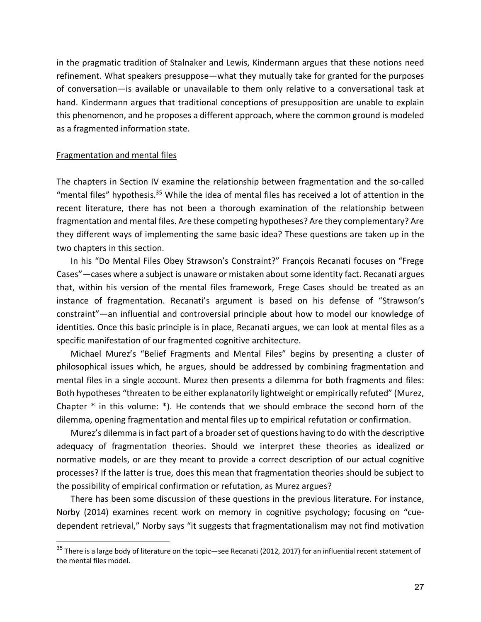in the pragmatic tradition of Stalnaker and Lewis, Kindermann argues that these notions need refinement. What speakers presuppose—what they mutually take for granted for the purposes of conversation—is available or unavailable to them only relative to a conversational task at hand. Kindermann argues that traditional conceptions of presupposition are unable to explain this phenomenon, and he proposes a different approach, where the common ground is modeled as a fragmented information state.

#### Fragmentation and mental files

The chapters in Section IV examine the relationship between fragmentation and the so-called "mental files" hypothesis.<sup>35</sup> While the idea of mental files has received a lot of attention in the recent literature, there has not been a thorough examination of the relationship between fragmentation and mental files. Are these competing hypotheses? Are they complementary? Are they different ways of implementing the same basic idea? These questions are taken up in the two chapters in this section.

In his "Do Mental Files Obey Strawson's Constraint?" François Recanati focuses on "Frege Cases"—cases where a subject is unaware or mistaken about some identity fact. Recanati argues that, within his version of the mental files framework, Frege Cases should be treated as an instance of fragmentation. Recanati's argument is based on his defense of "Strawson's constraint"—an influential and controversial principle about how to model our knowledge of identities. Once this basic principle is in place, Recanati argues, we can look at mental files as a specific manifestation of our fragmented cognitive architecture.

Michael Murez's "Belief Fragments and Mental Files" begins by presenting a cluster of philosophical issues which, he argues, should be addressed by combining fragmentation and mental files in a single account. Murez then presents a dilemma for both fragments and files: Both hypotheses "threaten to be either explanatorily lightweight or empirically refuted" (Murez, Chapter \* in this volume: \*). He contends that we should embrace the second horn of the dilemma, opening fragmentation and mental files up to empirical refutation or confirmation.

Murez's dilemma is in fact part of a broader set of questions having to do with the descriptive adequacy of fragmentation theories. Should we interpret these theories as idealized or normative models, or are they meant to provide a correct description of our actual cognitive processes? If the latter is true, does this mean that fragmentation theories should be subject to the possibility of empirical confirmation or refutation, as Murez argues?

There has been some discussion of these questions in the previous literature. For instance, Norby (2014) examines recent work on memory in cognitive psychology; focusing on "cuedependent retrieval," Norby says "it suggests that fragmentationalism may not find motivation

 $35$  There is a large body of literature on the topic—see Recanati (2012, 2017) for an influential recent statement of the mental files model.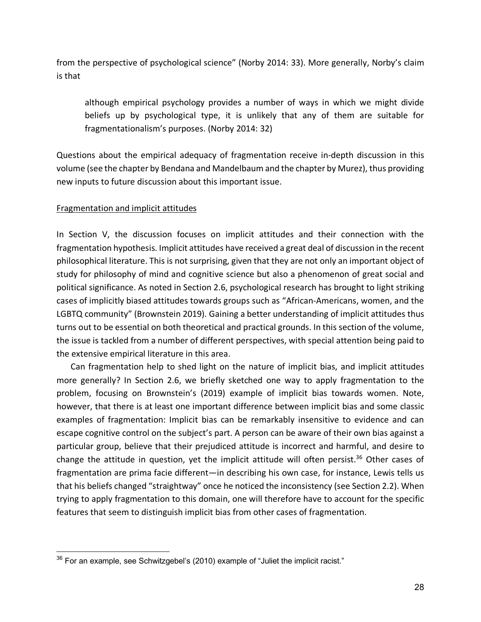from the perspective of psychological science" (Norby 2014: 33). More generally, Norby's claim is that

although empirical psychology provides a number of ways in which we might divide beliefs up by psychological type, it is unlikely that any of them are suitable for fragmentationalism's purposes. (Norby 2014: 32)

Questions about the empirical adequacy of fragmentation receive in-depth discussion in this volume (see the chapter by Bendana and Mandelbaum and the chapter by Murez), thus providing new inputs to future discussion about this important issue.

#### Fragmentation and implicit attitudes

In Section V, the discussion focuses on implicit attitudes and their connection with the fragmentation hypothesis. Implicit attitudes have received a great deal of discussion in the recent philosophical literature. This is not surprising, given that they are not only an important object of study for philosophy of mind and cognitive science but also a phenomenon of great social and political significance. As noted in Section 2.6, psychological research has brought to light striking cases of implicitly biased attitudes towards groups such as "African-Americans, women, and the LGBTQ community" (Brownstein 2019). Gaining a better understanding of implicit attitudes thus turns out to be essential on both theoretical and practical grounds. In this section of the volume, the issue is tackled from a number of different perspectives, with special attention being paid to the extensive empirical literature in this area.

Can fragmentation help to shed light on the nature of implicit bias, and implicit attitudes more generally? In Section 2.6, we briefly sketched one way to apply fragmentation to the problem, focusing on Brownstein's (2019) example of implicit bias towards women. Note, however, that there is at least one important difference between implicit bias and some classic examples of fragmentation: Implicit bias can be remarkably insensitive to evidence and can escape cognitive control on the subject's part. A person can be aware of their own bias against a particular group, believe that their prejudiced attitude is incorrect and harmful, and desire to change the attitude in question, yet the implicit attitude will often persist.<sup>36</sup> Other cases of fragmentation are prima facie different—in describing his own case, for instance, Lewis tells us that his beliefs changed "straightway" once he noticed the inconsistency (see Section 2.2). When trying to apply fragmentation to this domain, one will therefore have to account for the specific features that seem to distinguish implicit bias from other cases of fragmentation.

 $36$  For an example, see Schwitzgebel's (2010) example of "Juliet the implicit racist."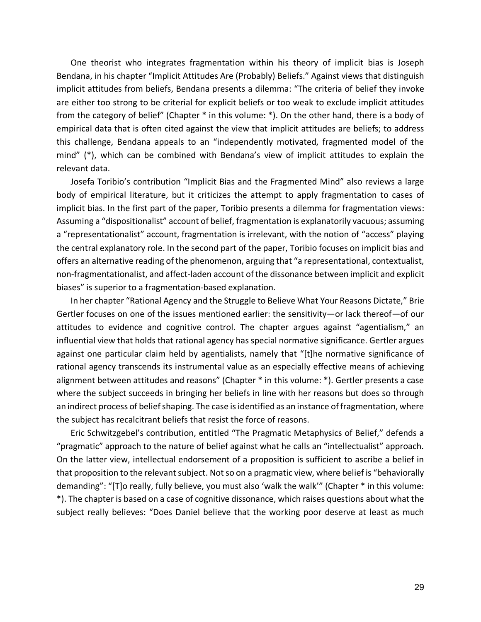One theorist who integrates fragmentation within his theory of implicit bias is Joseph Bendana, in his chapter "Implicit Attitudes Are (Probably) Beliefs." Against views that distinguish implicit attitudes from beliefs, Bendana presents a dilemma: "The criteria of belief they invoke are either too strong to be criterial for explicit beliefs or too weak to exclude implicit attitudes from the category of belief" (Chapter \* in this volume: \*). On the other hand, there is a body of empirical data that is often cited against the view that implicit attitudes are beliefs; to address this challenge, Bendana appeals to an "independently motivated, fragmented model of the mind" (\*), which can be combined with Bendana's view of implicit attitudes to explain the relevant data.

Josefa Toribio's contribution "Implicit Bias and the Fragmented Mind" also reviews a large body of empirical literature, but it criticizes the attempt to apply fragmentation to cases of implicit bias. In the first part of the paper, Toribio presents a dilemma for fragmentation views: Assuming a "dispositionalist" account of belief, fragmentation is explanatorily vacuous; assuming a "representationalist" account, fragmentation is irrelevant, with the notion of "access" playing the central explanatory role. In the second part of the paper, Toribio focuses on implicit bias and offers an alternative reading of the phenomenon, arguing that "a representational, contextualist, non-fragmentationalist, and affect-laden account of the dissonance between implicit and explicit biases" is superior to a fragmentation-based explanation.

In her chapter "Rational Agency and the Struggle to Believe What Your Reasons Dictate," Brie Gertler focuses on one of the issues mentioned earlier: the sensitivity—or lack thereof—of our attitudes to evidence and cognitive control. The chapter argues against "agentialism," an influential view that holds that rational agency has special normative significance. Gertler argues against one particular claim held by agentialists, namely that "[t]he normative significance of rational agency transcends its instrumental value as an especially effective means of achieving alignment between attitudes and reasons" (Chapter \* in this volume: \*). Gertler presents a case where the subject succeeds in bringing her beliefs in line with her reasons but does so through an indirect process of belief shaping. The case is identified as an instance of fragmentation, where the subject has recalcitrant beliefs that resist the force of reasons.

Eric Schwitzgebel's contribution, entitled "The Pragmatic Metaphysics of Belief," defends a "pragmatic" approach to the nature of belief against what he calls an "intellectualist" approach. On the latter view, intellectual endorsement of a proposition is sufficient to ascribe a belief in that proposition to the relevant subject. Not so on a pragmatic view, where belief is "behaviorally demanding": "[T]o really, fully believe, you must also 'walk the walk'" (Chapter \* in this volume: \*). The chapter is based on a case of cognitive dissonance, which raises questions about what the subject really believes: "Does Daniel believe that the working poor deserve at least as much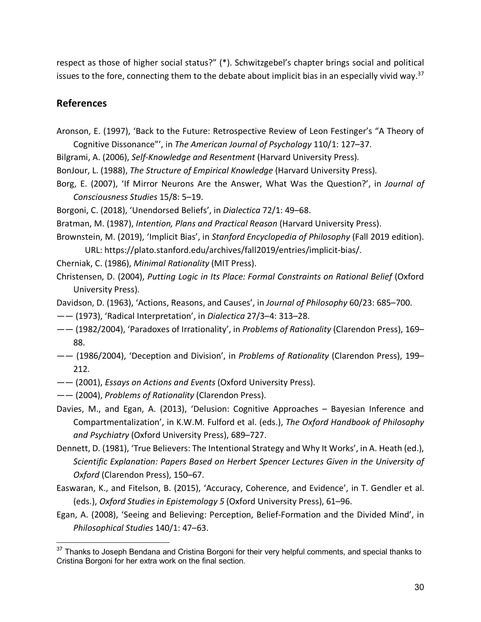respect as those of higher social status?" (\*). Schwitzgebel's chapter brings social and political issues to the fore, connecting them to the debate about implicit bias in an especially vivid way. $37$ 

#### **References**

- Aronson, E. (1997), 'Back to the Future: Retrospective Review of Leon Festinger's "A Theory of Cognitive Dissonance"', in *The American Journal of Psychology* 110/1: 127–37.
- Bilgrami, A. (2006), *Self-Knowledge and Resentment* (Harvard University Press).
- BonJour, L. (1988), *The Structure of Empirical Knowledge* (Harvard University Press).
- Borg, E. (2007), 'If Mirror Neurons Are the Answer, What Was the Question?', in *Journal of Consciousness Studies* 15/8: 5–19.
- Borgoni, C. (2018), 'Unendorsed Beliefs', in *Dialectica* 72/1: 49–68.
- Bratman, M. (1987), *Intention, Plans and Practical Reason* (Harvard University Press).
- Brownstein, M. (2019), 'Implicit Bias', in *Stanford Encyclopedia of Philosophy* (Fall 2019 edition). URL: https://plato.stanford.edu/archives/fall2019/entries/implicit-bias/.
- Cherniak, C. (1986), *Minimal Rationality* (MIT Press).
- Christensen, D. (2004), *Putting Logic in Its Place: Formal Constraints on Rational Belief* (Oxford University Press).
- Davidson, D. (1963), 'Actions, Reasons, and Causes', in *Journal of Philosophy* 60/23: 685–700.
- —— (1973), 'Radical Interpretation', in *Dialectica* 27/3–4: 313–28.
- —— (1982/2004), 'Paradoxes of Irrationality', in *Problems of Rationality* (Clarendon Press), 169– 88.
- —— (1986/2004), 'Deception and Division', in *Problems of Rationality* (Clarendon Press), 199– 212.
- —— (2001), *Essays on Actions and Events* (Oxford University Press).
- —— (2004), *Problems of Rationality* (Clarendon Press).
- Davies, M., and Egan, A. (2013), 'Delusion: Cognitive Approaches Bayesian Inference and Compartmentalization', in K.W.M. Fulford et al. (eds.), *The Oxford Handbook of Philosophy and Psychiatry* (Oxford University Press), 689–727.
- Dennett, D. (1981), 'True Believers: The Intentional Strategy and Why It Works', in A. Heath (ed.), *Scientific Explanation: Papers Based on Herbert Spencer Lectures Given in the University of Oxford* (Clarendon Press), 150–67.
- Easwaran, K., and Fitelson, B. (2015), 'Accuracy, Coherence, and Evidence', in T. Gendler et al. (eds.), *Oxford Studies in Epistemology 5* (Oxford University Press), 61–96.
- Egan, A. (2008), 'Seeing and Believing: Perception, Belief-Formation and the Divided Mind', in *Philosophical Studies* 140/1: 47–63.

<sup>&</sup>lt;sup>37</sup> Thanks to Joseph Bendana and Cristina Borgoni for their very helpful comments, and special thanks to Cristina Borgoni for her extra work on the final section.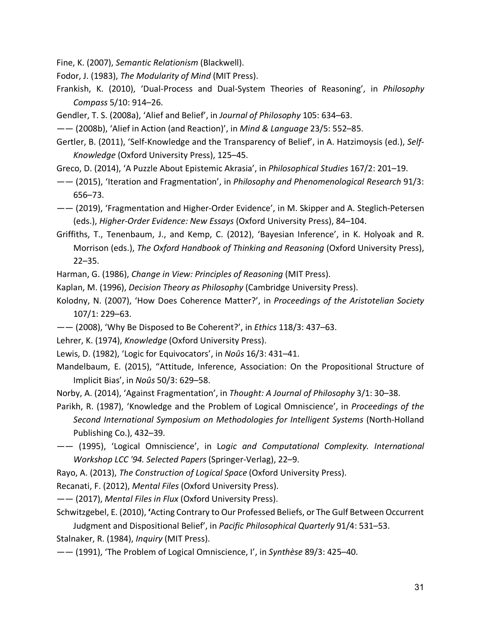Fine, K. (2007), *Semantic Relationism* (Blackwell).

Fodor, J. (1983), *The Modularity of Mind* (MIT Press).

- Frankish, K. (2010), 'Dual-Process and Dual-System Theories of Reasoning', in *Philosophy Compass* 5/10: 914–26.
- Gendler, T. S. (2008a), 'Alief and Belief', in *Journal of Philosophy* 105: 634–63.

—— (2008b), 'Alief in Action (and Reaction)', in *Mind & Language* 23/5: 552–85.

Gertler, B. (2011), 'Self-Knowledge and the Transparency of Belief', in A. Hatzimoysis (ed.), *Self-Knowledge* (Oxford University Press), 125–45.

Greco, D. (2014), 'A Puzzle About Epistemic Akrasia', in *Philosophical Studies* 167/2: 201–19.

—— (2015), 'Iteration and Fragmentation', in *Philosophy and Phenomenological Research* 91/3: 656–73.

—— (2019), 'Fragmentation and Higher-Order Evidence', in M. Skipper and A. Steglich-Petersen (eds.), *Higher-Order Evidence: New Essays* (Oxford University Press), 84–104.

Griffiths, T., Tenenbaum, J., and Kemp, C. (2012), 'Bayesian Inference', in K. Holyoak and R. Morrison (eds.), *The Oxford Handbook of Thinking and Reasoning* (Oxford University Press), 22–35.

Harman, G. (1986), *Change in View: Principles of Reasoning* (MIT Press).

Kaplan, M. (1996), *Decision Theory as Philosophy* (Cambridge University Press).

Kolodny, N. (2007), 'How Does Coherence Matter?', in *Proceedings of the Aristotelian Society*  107/1: 229–63.

—— (2008), 'Why Be Disposed to Be Coherent?', in *Ethics* 118/3: 437–63.

Lehrer, K. (1974), *Knowledge* (Oxford University Press).

Lewis, D. (1982), 'Logic for Equivocators', in *Noûs* 16/3: 431–41.

Mandelbaum, E. (2015), "Attitude, Inference, Association: On the Propositional Structure of Implicit Bias', in *Noûs* 50/3: 629–58.

Norby, A. (2014), 'Against Fragmentation', in *Thought: A Journal of Philosophy* 3/1: 30–38.

Parikh, R. (1987), 'Knowledge and the Problem of Logical Omniscience', in *Proceedings of the Second International Symposium on Methodologies for Intelligent Systems* (North-Holland Publishing Co.), 432–39.

—— (1995), 'Logical Omniscience', in L*ogic and Computational Complexity. International Workshop LCC '94. Selected Papers* (Springer-Verlag), 22–9.

Rayo, A. (2013), *The Construction of Logical Space* (Oxford University Press).

Recanati, F. (2012), *Mental Files* (Oxford University Press).

—— (2017), *Mental Files in Flux* (Oxford University Press).

Schwitzgebel, E. (2010), **'**Acting Contrary to Our Professed Beliefs, or The Gulf Between Occurrent Judgment and Dispositional Belief', in *Pacific Philosophical Quarterly* 91/4: 531–53.

Stalnaker, R. (1984), *Inquiry* (MIT Press).

—— (1991), 'The Problem of Logical Omniscience, I', in *Synthèse* 89/3: 425–40.